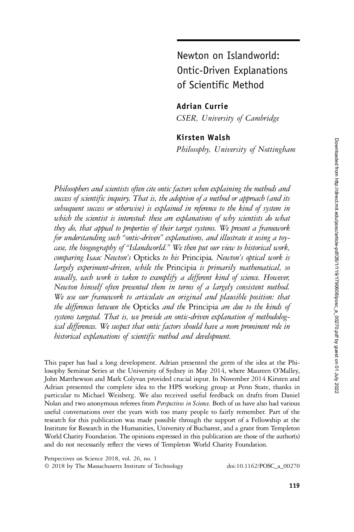# Newton on Islandworld: Ontic-Driven Explanations of Scientific Method

Adrian Currie

CSER, University of Cambridge

## Kirsten Walsh

Philosophy, University of Nottingham

Philosophers and scientists often cite ontic factors when explaining the methods and success of scientific inquiry. That is, the adoption of a method or approach (and its subsequent success or otherwise) is explained in reference to the kind of system in which the scientist is interested: these are explanations of why scientists do what they do, that appeal to properties of their target systems. We present a framework for understanding such "ontic-driven" explanations, and illustrate it using a toycase, the biogeography of "Islandworld." We then put our view to historical work, comparing Isaac Newton's Opticks to his Principia. Newton's optical work is largely experiment-driven, while the Principia is primarily mathematical, so usually, each work is taken to exemplify a different kind of science. However, Newton himself often presented them in terms of a largely consistent method. We use our framework to articulate an original and plausible position: that the differences between the Opticks and the Principia are due to the kinds of systems targeted. That is, we provide an ontic-driven explanation of methodological differences. We suspect that ontic factors should have a more prominent role in historical explanations of scientific method and development.

This paper has had a long development. Adrian presented the germ of the idea at the Philosophy Seminar Series at the University of Sydney in May 2014, where Maureen O'Malley, John Matthewson and Mark Colyvan provided crucial input. In November 2014 Kirsten and Adrian presented the complete idea to the HPS working group at Penn State, thanks in particular to Michael Weisberg. We also received useful feedback on drafts from Daniel Nolan and two anonymous referees from *Perspectives in Science*. Both of us have also had various useful conversations over the years with too many people to fairly remember. Part of the research for this publication was made possible through the support of a Fellowship at the Institute for Research in the Humanities, University of Bucharest, and a grant from Templeton World Charity Foundation. The opinions expressed in this publication are those of the author(s) and do not necessarily reflect the views of Templeton World Charity Foundation.

Perspectives on Science 2018, vol. 26, no. 1

© 2018 by The Massachusetts Institute of Technology doi:10.1162/POSC\_a\_00270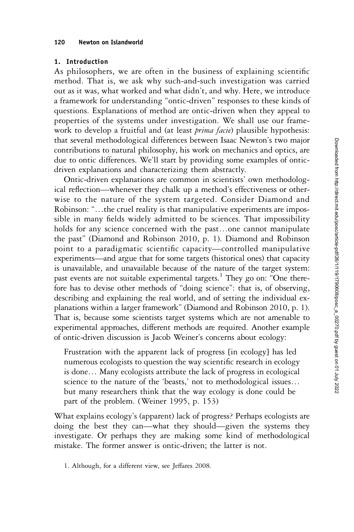#### 1. Introduction

As philosophers, we are often in the business of explaining scientific method. That is, we ask why such-and-such investigation was carried out as it was, what worked and what didn't, and why. Here, we introduce a framework for understanding "ontic-driven" responses to these kinds of questions. Explanations of method are ontic-driven when they appeal to properties of the systems under investigation. We shall use our framework to develop a fruitful and (at least *prima facie*) plausible hypothesis: that several methodological differences between Isaac Newton's two major contributions to natural philosophy, his work on mechanics and optics, are due to ontic differences. We'll start by providing some examples of onticdriven explanations and characterizing them abstractly.

Ontic-driven explanations are common in scientists' own methodological reflection—whenever they chalk up a method's effectiveness or otherwise to the nature of the system targeted. Consider Diamond and Robinson: "…the cruel reality is that manipulative experiments are impossible in many fields widely admitted to be sciences. That impossibility holds for any science concerned with the past…one cannot manipulate the past" (Diamond and Robinson 2010, p. 1). Diamond and Robinson point to a paradigmatic scientific capacity—controlled manipulative experiments—and argue that for some targets (historical ones) that capacity is unavailable, and unavailable because of the nature of the target system: past events are not suitable experimental targets.<sup>1</sup> They go on: "One therefore has to devise other methods of "doing science": that is, of observing, describing and explaining the real world, and of setting the individual explanations within a larger framework" (Diamond and Robinson 2010, p. 1). That is, because some scientists target systems which are not amenable to experimental approaches, different methods are required. Another example of ontic-driven discussion is Jacob Weiner's concerns about ecology:

Frustration with the apparent lack of progress [in ecology] has led numerous ecologists to question the way scientific research in ecology is done… Many ecologists attribute the lack of progress in ecological science to the nature of the 'beasts,' not to methodological issues… but many researchers think that the way ecology is done could be part of the problem. (Weiner 1995, p. 153)

What explains ecology's (apparent) lack of progress? Perhaps ecologists are doing the best they can—what they should—given the systems they investigate. Or perhaps they are making some kind of methodological mistake. The former answer is ontic-driven; the latter is not.

1. Although, for a different view, see Jeffares 2008.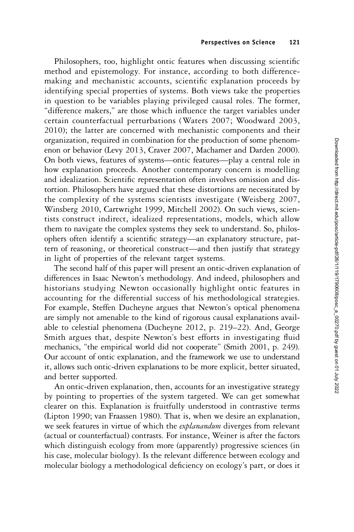Philosophers, too, highlight ontic features when discussing scientific method and epistemology. For instance, according to both differencemaking and mechanistic accounts, scientific explanation proceeds by identifying special properties of systems. Both views take the properties in question to be variables playing privileged causal roles. The former, "difference makers," are those which influence the target variables under certain counterfactual perturbations (Waters 2007; Woodward 2003, 2010); the latter are concerned with mechanistic components and their organization, required in combination for the production of some phenomenon or behavior (Levy 2013, Craver 2007, Machamer and Darden 2000). On both views, features of systems—ontic features—play a central role in how explanation proceeds. Another contemporary concern is modelling and idealization. Scientific representation often involves omission and distortion. Philosophers have argued that these distortions are necessitated by the complexity of the systems scientists investigate (Weisberg 2007, Winsberg 2010, Cartwright 1999, Mitchell 2002). On such views, scientists construct indirect, idealized representations, models, which allow them to navigate the complex systems they seek to understand. So, philosophers often identify a scientific strategy—an explanatory structure, pattern of reasoning, or theoretical construct—and then justify that strategy in light of properties of the relevant target systems.

The second half of this paper will present an ontic-driven explanation of differences in Isaac Newton's methodology. And indeed, philosophers and historians studying Newton occasionally highlight ontic features in accounting for the differential success of his methodological strategies. For example, Steffen Ducheyne argues that Newton's optical phenomena are simply not amenable to the kind of rigorous causal explanations available to celestial phenomena (Ducheyne 2012, p. 219–22). And, George Smith argues that, despite Newton's best efforts in investigating fluid mechanics, "the empirical world did not cooperate" (Smith 2001, p. 249). Our account of ontic explanation, and the framework we use to understand it, allows such ontic-driven explanations to be more explicit, better situated, and better supported.

An ontic-driven explanation, then, accounts for an investigative strategy by pointing to properties of the system targeted. We can get somewhat clearer on this. Explanation is fruitfully understood in contrastive terms (Lipton 1990; van Fraassen 1980). That is, when we desire an explanation, we seek features in virtue of which the explanandum diverges from relevant (actual or counterfactual) contrasts. For instance, Weiner is after the factors which distinguish ecology from more (apparently) progressive sciences (in his case, molecular biology). Is the relevant difference between ecology and molecular biology a methodological deficiency on ecology's part, or does it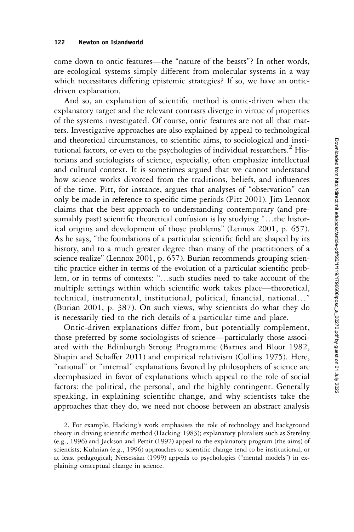come down to ontic features—the "nature of the beasts"? In other words, are ecological systems simply different from molecular systems in a way which necessitates differing epistemic strategies? If so, we have an onticdriven explanation.

And so, an explanation of scientific method is ontic-driven when the explanatory target and the relevant contrasts diverge in virtue of properties of the systems investigated. Of course, ontic features are not all that matters. Investigative approaches are also explained by appeal to technological and theoretical circumstances, to scientific aims, to sociological and institutional factors, or even to the psychologies of individual researchers.<sup>2</sup> Historians and sociologists of science, especially, often emphasize intellectual and cultural context. It is sometimes argued that we cannot understand how science works divorced from the traditions, beliefs, and influences of the time. Pitt, for instance, argues that analyses of "observation" can only be made in reference to specific time periods (Pitt 2001). Jim Lennox claims that the best approach to understanding contemporary (and presumably past) scientific theoretical confusion is by studying "…the historical origins and development of those problems" (Lennox 2001, p. 657). As he says, "the foundations of a particular scientific field are shaped by its history, and to a much greater degree than many of the practitioners of a science realize" (Lennox 2001, p. 657). Burian recommends grouping scientific practice either in terms of the evolution of a particular scientific problem, or in terms of contexts: "…such studies need to take account of the multiple settings within which scientific work takes place—theoretical, technical, instrumental, institutional, political, financial, national…" (Burian 2001, p. 387). On such views, why scientists do what they do is necessarily tied to the rich details of a particular time and place.

Ontic-driven explanations differ from, but potentially complement, those preferred by some sociologists of science—particularly those associated with the Edinburgh Strong Programme (Barnes and Bloor 1982, Shapin and Schaffer 2011) and empirical relativism (Collins 1975). Here, "rational" or "internal" explanations favored by philosophers of science are deemphasized in favor of explanations which appeal to the role of social factors: the political, the personal, and the highly contingent. Generally speaking, in explaining scientific change, and why scientists take the approaches that they do, we need not choose between an abstract analysis

2. For example, Hacking's work emphasises the role of technology and background theory in driving scientific method (Hacking 1983); explanatory pluralists such as Sterelny (e.g., 1996) and Jackson and Pettit (1992) appeal to the explanatory program (the aims) of scientists; Kuhnian (e.g., 1996) approaches to scientific change tend to be institutional, or at least pedagogical; Nersessian (1999) appeals to psychologies ("mental models") in explaining conceptual change in science.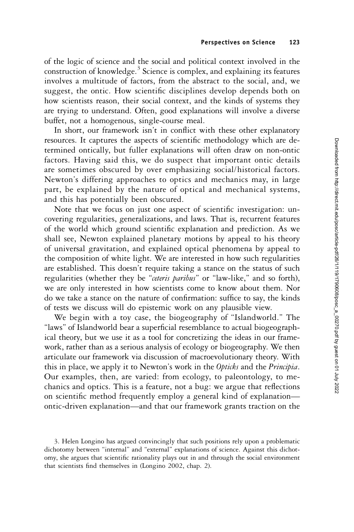of the logic of science and the social and political context involved in the construction of knowledge.<sup>3</sup> Science is complex, and explaining its features involves a multitude of factors, from the abstract to the social, and, we suggest, the ontic. How scientific disciplines develop depends both on how scientists reason, their social context, and the kinds of systems they are trying to understand. Often, good explanations will involve a diverse buffet, not a homogenous, single-course meal.

In short, our framework isn't in conflict with these other explanatory resources. It captures the aspects of scientific methodology which are determined ontically, but fuller explanations will often draw on non-ontic factors. Having said this, we do suspect that important ontic details are sometimes obscured by over emphasizing social/historical factors. Newton's differing approaches to optics and mechanics may, in large part, be explained by the nature of optical and mechanical systems, and this has potentially been obscured.

Note that we focus on just one aspect of scientific investigation: uncovering regularities, generalizations, and laws. That is, recurrent features of the world which ground scientific explanation and prediction. As we shall see, Newton explained planetary motions by appeal to his theory of universal gravitation, and explained optical phenomena by appeal to the composition of white light. We are interested in how such regularities are established. This doesn't require taking a stance on the status of such regularities (whether they be "ceteris paribus" or "law-like," and so forth), we are only interested in how scientists come to know about them. Nor do we take a stance on the nature of confirmation: suffice to say, the kinds of tests we discuss will do epistemic work on any plausible view.

We begin with a toy case, the biogeography of "Islandworld." The "laws" of Islandworld bear a superficial resemblance to actual biogeographical theory, but we use it as a tool for concretizing the ideas in our framework, rather than as a serious analysis of ecology or biogeography. We then articulate our framework via discussion of macroevolutionary theory. With this in place, we apply it to Newton's work in the Opticks and the Principia. Our examples, then, are varied: from ecology, to paleontology, to mechanics and optics. This is a feature, not a bug: we argue that reflections on scientific method frequently employ a general kind of explanation ontic-driven explanation—and that our framework grants traction on the

3. Helen Longino has argued convincingly that such positions rely upon a problematic dichotomy between "internal" and "external" explanations of science. Against this dichotomy, she argues that scientific rationality plays out in and through the social environment that scientists find themselves in (Longino 2002, chap. 2).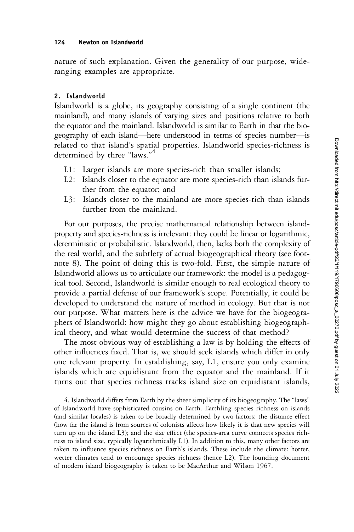#### 124 Newton on Islandworld

nature of such explanation. Given the generality of our purpose, wideranging examples are appropriate.

## 2. Islandworld

Islandworld is a globe, its geography consisting of a single continent (the mainland), and many islands of varying sizes and positions relative to both the equator and the mainland. Islandworld is similar to Earth in that the biogeography of each island—here understood in terms of species number—is related to that island's spatial properties. Islandworld species-richness is determined by three "laws."<sup>4</sup>

- L1: Larger islands are more species-rich than smaller islands;
- L2: Islands closer to the equator are more species-rich than islands further from the equator; and
- L3: Islands closer to the mainland are more species-rich than islands further from the mainland.

For our purposes, the precise mathematical relationship between islandproperty and species-richness is irrelevant: they could be linear or logarithmic, deterministic or probabilistic. Islandworld, then, lacks both the complexity of the real world, and the subtlety of actual biogeographical theory (see footnote 8). The point of doing this is two-fold. First, the simple nature of Islandworld allows us to articulate our framework: the model is a pedagogical tool. Second, Islandworld is similar enough to real ecological theory to provide a partial defense of our framework's scope. Potentially, it could be developed to understand the nature of method in ecology. But that is not our purpose. What matters here is the advice we have for the biogeographers of Islandworld: how might they go about establishing biogeographical theory, and what would determine the success of that method?

The most obvious way of establishing a law is by holding the effects of other influences fixed. That is, we should seek islands which differ in only one relevant property. In establishing, say, L1, ensure you only examine islands which are equidistant from the equator and the mainland. If it turns out that species richness tracks island size on equidistant islands,

4. Islandworld differs from Earth by the sheer simplicity of its biogeography. The "laws" of Islandworld have sophisticated cousins on Earth. Earthling species richness on islands (and similar locales) is taken to be broadly determined by two factors: the distance effect (how far the island is from sources of colonists affects how likely it is that new species will turn up on the island L3); and the size effect (the species-area curve connects species richness to island size, typically logarithmically L1). In addition to this, many other factors are taken to influence species richness on Earth's islands. These include the climate: hotter, wetter climates tend to encourage species richness (hence L2). The founding document of modern island biogeography is taken to be MacArthur and Wilson 1967.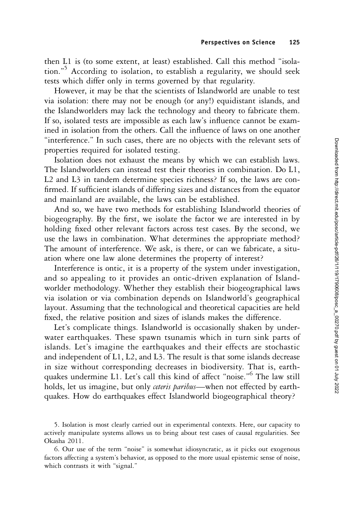then L1 is (to some extent, at least) established. Call this method "isolation." <sup>5</sup> According to isolation, to establish a regularity, we should seek tests which differ only in terms governed by that regularity.

However, it may be that the scientists of Islandworld are unable to test via isolation: there may not be enough (or any!) equidistant islands, and the Islandworlders may lack the technology and theory to fabricate them. If so, isolated tests are impossible as each law's influence cannot be examined in isolation from the others. Call the influence of laws on one another "interference." In such cases, there are no objects with the relevant sets of properties required for isolated testing.

Isolation does not exhaust the means by which we can establish laws. The Islandworlders can instead test their theories in combination. Do L1, L2 and L3 in tandem determine species richness? If so, the laws are confirmed. If sufficient islands of differing sizes and distances from the equator and mainland are available, the laws can be established.

And so, we have two methods for establishing Islandworld theories of biogeography. By the first, we isolate the factor we are interested in by holding fixed other relevant factors across test cases. By the second, we use the laws in combination. What determines the appropriate method? The amount of interference. We ask, is there, or can we fabricate, a situation where one law alone determines the property of interest?

Interference is ontic, it is a property of the system under investigation, and so appealing to it provides an ontic-driven explanation of Islandworlder methodology. Whether they establish their biogeographical laws via isolation or via combination depends on Islandworld's geographical layout. Assuming that the technological and theoretical capacities are held fixed, the relative position and sizes of islands makes the difference.

Let's complicate things. Islandworld is occasionally shaken by underwater earthquakes. These spawn tsunamis which in turn sink parts of islands. Let's imagine the earthquakes and their effects are stochastic and independent of L1, L2, and L3. The result is that some islands decrease in size without corresponding decreases in biodiversity. That is, earthquakes undermine L1. Let's call this kind of affect "noise." <sup>6</sup> The law still holds, let us imagine, but only ceteris paribus—when not effected by earthquakes. How do earthquakes effect Islandworld biogeographical theory?

5. Isolation is most clearly carried out in experimental contexts. Here, our capacity to actively manipulate systems allows us to bring about test cases of causal regularities. See Okasha 2011.

6. Our use of the term "noise" is somewhat idiosyncratic, as it picks out exogenous factors affecting a system's behavior, as opposed to the more usual epistemic sense of noise, which contrasts it with "signal."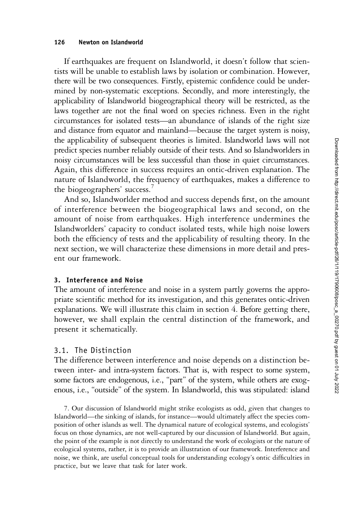#### 126 Newton on Islandworld

If earthquakes are frequent on Islandworld, it doesn't follow that scientists will be unable to establish laws by isolation or combination. However, there will be two consequences. Firstly, epistemic confidence could be undermined by non-systematic exceptions. Secondly, and more interestingly, the applicability of Islandworld biogeographical theory will be restricted, as the laws together are not the final word on species richness. Even in the right circumstances for isolated tests—an abundance of islands of the right size and distance from equator and mainland—because the target system is noisy, the applicability of subsequent theories is limited. Islandworld laws will not predict species number reliably outside of their tests. And so Islandworlders in noisy circumstances will be less successful than those in quiet circumstances. Again, this difference in success requires an ontic-driven explanation. The nature of Islandworld, the frequency of earthquakes, makes a difference to the biogeographers' success. 7

And so, Islandworlder method and success depends first, on the amount of interference between the biogeographical laws and second, on the amount of noise from earthquakes. High interference undermines the Islandworlders' capacity to conduct isolated tests, while high noise lowers both the efficiency of tests and the applicability of resulting theory. In the next section, we will characterize these dimensions in more detail and present our framework.

#### 3. Interference and Noise

The amount of interference and noise in a system partly governs the appropriate scientific method for its investigation, and this generates ontic-driven explanations. We will illustrate this claim in section 4. Before getting there, however, we shall explain the central distinction of the framework, and present it schematically.

#### 3.1. The Distinction

The difference between interference and noise depends on a distinction between inter- and intra-system factors. That is, with respect to some system, some factors are endogenous, i.e., "part" of the system, while others are exogenous, i.e., "outside" of the system. In Islandworld, this was stipulated: island

7. Our discussion of Islandworld might strike ecologists as odd, given that changes to Islandworld—the sinking of islands, for instance—would ultimately affect the species composition of other islands as well. The dynamical nature of ecological systems, and ecologists' focus on those dynamics, are not well-captured by our discussion of Islandworld. But again, the point of the example is not directly to understand the work of ecologists or the nature of ecological systems, rather, it is to provide an illustration of our framework. Interference and noise, we think, are useful conceptual tools for understanding ecology's ontic difficulties in practice, but we leave that task for later work.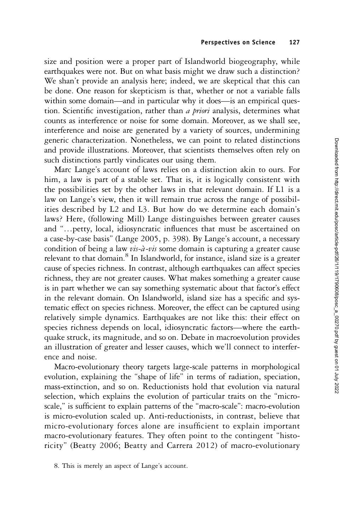size and position were a proper part of Islandworld biogeography, while earthquakes were not. But on what basis might we draw such a distinction? We shan't provide an analysis here; indeed, we are skeptical that this can be done. One reason for skepticism is that, whether or not a variable falls within some domain—and in particular why it does—is an empirical question. Scientific investigation, rather than a priori analysis, determines what counts as interference or noise for some domain. Moreover, as we shall see, interference and noise are generated by a variety of sources, undermining generic characterization. Nonetheless, we can point to related distinctions and provide illustrations. Moreover, that scientists themselves often rely on such distinctions partly vindicates our using them.

Marc Lange's account of laws relies on a distinction akin to ours. For him, a law is part of a stable set. That is, it is logically consistent with the possibilities set by the other laws in that relevant domain. If L1 is a law on Lange's view, then it will remain true across the range of possibilities described by L2 and L3. But how do we determine each domain's laws? Here, (following Mill) Lange distinguishes between greater causes and "…petty, local, idiosyncratic influences that must be ascertained on a case-by-case basis" (Lange 2005, p. 398). By Lange's account, a necessary condition of being a law vis-à-vis some domain is capturing a greater cause relevant to that domain.<sup>8</sup> In Islandworld, for instance, island size is a greater cause of species richness. In contrast, although earthquakes can affect species richness, they are not greater causes. What makes something a greater cause is in part whether we can say something systematic about that factor's effect in the relevant domain. On Islandworld, island size has a specific and systematic effect on species richness. Moreover, the effect can be captured using relatively simple dynamics. Earthquakes are not like this: their effect on species richness depends on local, idiosyncratic factors—where the earthquake struck, its magnitude, and so on. Debate in macroevolution provides an illustration of greater and lesser causes, which we'll connect to interference and noise.

Macro-evolutionary theory targets large-scale patterns in morphological evolution, explaining the "shape of life" in terms of radiation, speciation, mass-extinction, and so on. Reductionists hold that evolution via natural selection, which explains the evolution of particular traits on the "microscale," is sufficient to explain patterns of the "macro-scale": macro-evolution is micro-evolution scaled up. Anti-reductionists, in contrast, believe that micro-evolutionary forces alone are insufficient to explain important macro-evolutionary features. They often point to the contingent "historicity" (Beatty 2006; Beatty and Carrera 2012) of macro-evolutionary

<sup>8.</sup> This is merely an aspect of Lange's account.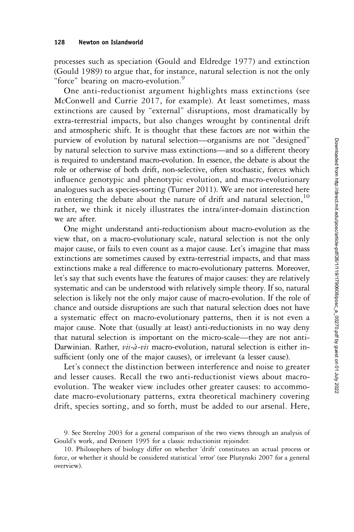processes such as speciation (Gould and Eldredge 1977) and extinction (Gould 1989) to argue that, for instance, natural selection is not the only "force" bearing on macro-evolution."

One anti-reductionist argument highlights mass extinctions (see McConwell and Currie 2017, for example). At least sometimes, mass extinctions are caused by "external" disruptions, most dramatically by extra-terrestrial impacts, but also changes wrought by continental drift and atmospheric shift. It is thought that these factors are not within the purview of evolution by natural selection—organisms are not "designed" by natural selection to survive mass extinctions—and so a different theory is required to understand macro-evolution. In essence, the debate is about the role or otherwise of both drift, non-selective, often stochastic, forces which influence genotypic and phenotypic evolution, and macro-evolutionary analogues such as species-sorting (Turner 2011). We are not interested here in entering the debate about the nature of drift and natural selection.<sup>10</sup> rather, we think it nicely illustrates the intra/inter-domain distinction we are after.

One might understand anti-reductionism about macro-evolution as the view that, on a macro-evolutionary scale, natural selection is not the only major cause, or fails to even count as a major cause. Let's imagine that mass extinctions are sometimes caused by extra-terrestrial impacts, and that mass extinctions make a real difference to macro-evolutionary patterns. Moreover, let's say that such events have the features of major causes: they are relatively systematic and can be understood with relatively simple theory. If so, natural selection is likely not the only major cause of macro-evolution. If the role of chance and outside disruptions are such that natural selection does not have a systematic effect on macro-evolutionary patterns, then it is not even a major cause. Note that (usually at least) anti-reductionists in no way deny that natural selection is important on the micro-scale—they are not anti-Darwinian. Rather, vis-à-vis macro-evolution, natural selection is either insufficient (only one of the major causes), or irrelevant (a lesser cause).

Let's connect the distinction between interference and noise to greater and lesser causes. Recall the two anti-reductionist views about macroevolution. The weaker view includes other greater causes: to accommodate macro-evolutionary patterns, extra theoretical machinery covering drift, species sorting, and so forth, must be added to our arsenal. Here,

<sup>9.</sup> See Sterelny 2003 for a general comparison of the two views through an analysis of Gould's work, and Dennett 1995 for a classic reductionist rejoinder.

<sup>10.</sup> Philosophers of biology differ on whether 'drift' constitutes an actual process or force, or whether it should be considered statistical 'error' (see Plutynski 2007 for a general overview).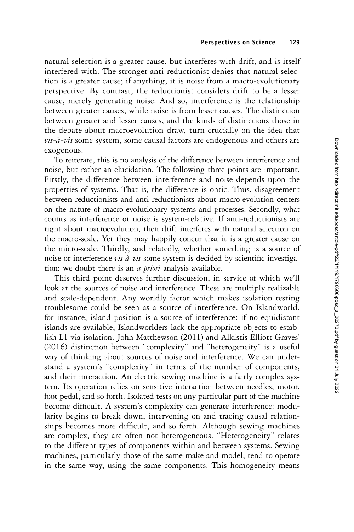natural selection is a greater cause, but interferes with drift, and is itself interfered with. The stronger anti-reductionist denies that natural selection is a greater cause; if anything, it is noise from a macro-evolutionary perspective. By contrast, the reductionist considers drift to be a lesser cause, merely generating noise. And so, interference is the relationship between greater causes, while noise is from lesser causes. The distinction between greater and lesser causes, and the kinds of distinctions those in the debate about macroevolution draw, turn crucially on the idea that  $vis-\partial-vis$  some system, some causal factors are endogenous and others are exogenous.

To reiterate, this is no analysis of the difference between interference and noise, but rather an elucidation. The following three points are important. Firstly, the difference between interference and noise depends upon the properties of systems. That is, the difference is ontic. Thus, disagreement between reductionists and anti-reductionists about macro-evolution centers on the nature of macro-evolutionary systems and processes. Secondly, what counts as interference or noise is system-relative. If anti-reductionists are right about macroevolution, then drift interferes with natural selection on the macro-scale. Yet they may happily concur that it is a greater cause on the micro-scale. Thirdly, and relatedly, whether something is a source of noise or interference vis-à-vis some system is decided by scientific investigation: we doubt there is an *a priori* analysis available.

This third point deserves further discussion, in service of which we'll look at the sources of noise and interference. These are multiply realizable and scale-dependent. Any worldly factor which makes isolation testing troublesome could be seen as a source of interference. On Islandworld, for instance, island position is a source of interference: if no equidistant islands are available, Islandworlders lack the appropriate objects to establish L1 via isolation. John Matthewson (2011) and Alkistis Elliott Graves' (2016) distinction between "complexity" and "heterogeneity" is a useful way of thinking about sources of noise and interference. We can understand a system's "complexity" in terms of the number of components, and their interaction. An electric sewing machine is a fairly complex system. Its operation relies on sensitive interaction between needles, motor, foot pedal, and so forth. Isolated tests on any particular part of the machine become difficult. A system's complexity can generate interference: modularity begins to break down, intervening on and tracing causal relationships becomes more difficult, and so forth. Although sewing machines are complex, they are often not heterogeneous. "Heterogeneity" relates to the different types of components within and between systems. Sewing machines, particularly those of the same make and model, tend to operate in the same way, using the same components. This homogeneity means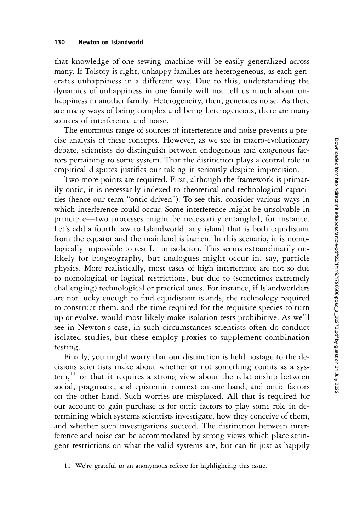that knowledge of one sewing machine will be easily generalized across many. If Tolstoy is right, unhappy families are heterogeneous, as each generates unhappiness in a different way. Due to this, understanding the dynamics of unhappiness in one family will not tell us much about unhappiness in another family. Heterogeneity, then, generates noise. As there are many ways of being complex and being heterogeneous, there are many sources of interference and noise.

The enormous range of sources of interference and noise prevents a precise analysis of these concepts. However, as we see in macro-evolutionary debate, scientists do distinguish between endogenous and exogenous factors pertaining to some system. That the distinction plays a central role in empirical disputes justifies our taking it seriously despite imprecision.

Two more points are required. First, although the framework is primarily ontic, it is necessarily indexed to theoretical and technological capacities (hence our term "ontic-driven"). To see this, consider various ways in which interference could occur. Some interference might be unsolvable in principle—two processes might be necessarily entangled, for instance. Let's add a fourth law to Islandworld: any island that is both equidistant from the equator and the mainland is barren. In this scenario, it is nomologically impossible to test L1 in isolation. This seems extraordinarily unlikely for biogeography, but analogues might occur in, say, particle physics. More realistically, most cases of high interference are not so due to nomological or logical restrictions, but due to (sometimes extremely challenging) technological or practical ones. For instance, if Islandworlders are not lucky enough to find equidistant islands, the technology required to construct them, and the time required for the requisite species to turn up or evolve, would most likely make isolation tests prohibitive. As we'll see in Newton's case, in such circumstances scientists often do conduct isolated studies, but these employ proxies to supplement combination testing.

Finally, you might worry that our distinction is held hostage to the decisions scientists make about whether or not something counts as a sys $tem<sup>11</sup>$  or that it requires a strong view about the relationship between social, pragmatic, and epistemic context on one hand, and ontic factors on the other hand. Such worries are misplaced. All that is required for our account to gain purchase is for ontic factors to play some role in determining which systems scientists investigate, how they conceive of them, and whether such investigations succeed. The distinction between interference and noise can be accommodated by strong views which place stringent restrictions on what the valid systems are, but can fit just as happily

11. We're grateful to an anonymous referee for highlighting this issue.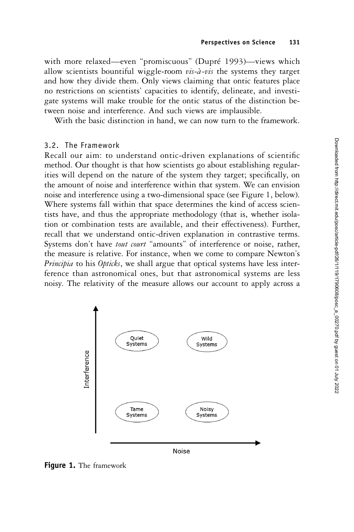with more relaxed—even "promiscuous" (Dupré 1993)—views which allow scientists bountiful wiggle-room  $vis-\lambda - vis$  the systems they target and how they divide them. Only views claiming that ontic features place no restrictions on scientists' capacities to identify, delineate, and investigate systems will make trouble for the ontic status of the distinction between noise and interference. And such views are implausible.

With the basic distinction in hand, we can now turn to the framework.

## 3.2. The Framework

Recall our aim: to understand ontic-driven explanations of scientific method. Our thought is that how scientists go about establishing regularities will depend on the nature of the system they target; specifically, on the amount of noise and interference within that system. We can envision noise and interference using a two-dimensional space (see Figure 1, below). Where systems fall within that space determines the kind of access scientists have, and thus the appropriate methodology (that is, whether isolation or combination tests are available, and their effectiveness). Further, recall that we understand ontic-driven explanation in contrastive terms. Systems don't have tout court "amounts" of interference or noise, rather, the measure is relative. For instance, when we come to compare Newton's Principia to his Opticks, we shall argue that optical systems have less interference than astronomical ones, but that astronomical systems are less noisy. The relativity of the measure allows our account to apply across a



Figure 1. The framework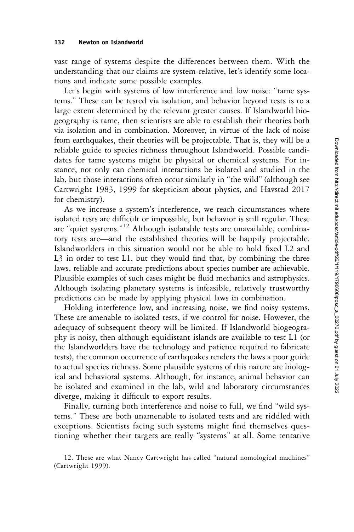vast range of systems despite the differences between them. With the understanding that our claims are system-relative, let's identify some locations and indicate some possible examples.

Let's begin with systems of low interference and low noise: "tame systems." These can be tested via isolation, and behavior beyond tests is to a large extent determined by the relevant greater causes. If Islandworld biogeography is tame, then scientists are able to establish their theories both via isolation and in combination. Moreover, in virtue of the lack of noise from earthquakes, their theories will be projectable. That is, they will be a reliable guide to species richness throughout Islandworld. Possible candidates for tame systems might be physical or chemical systems. For instance, not only can chemical interactions be isolated and studied in the lab, but those interactions often occur similarly in "the wild" (although see Cartwright 1983, 1999 for skepticism about physics, and Havstad 2017 for chemistry).

As we increase a system's interference, we reach circumstances where isolated tests are difficult or impossible, but behavior is still regular. These are "quiet systems." <sup>12</sup> Although isolatable tests are unavailable, combinatory tests are—and the established theories will be happily projectable. Islandworlders in this situation would not be able to hold fixed L2 and L3 in order to test L1, but they would find that, by combining the three laws, reliable and accurate predictions about species number are achievable. Plausible examples of such cases might be fluid mechanics and astrophysics. Although isolating planetary systems is infeasible, relatively trustworthy predictions can be made by applying physical laws in combination.

Holding interference low, and increasing noise, we find noisy systems. These are amenable to isolated tests, if we control for noise. However, the adequacy of subsequent theory will be limited. If Islandworld biogeography is noisy, then although equidistant islands are available to test L1 (or the Islandworlders have the technology and patience required to fabricate tests), the common occurrence of earthquakes renders the laws a poor guide to actual species richness. Some plausible systems of this nature are biological and behavioral systems. Although, for instance, animal behavior can be isolated and examined in the lab, wild and laboratory circumstances diverge, making it difficult to export results.

Finally, turning both interference and noise to full, we find "wild systems." These are both unamenable to isolated tests and are riddled with exceptions. Scientists facing such systems might find themselves questioning whether their targets are really "systems" at all. Some tentative

<sup>12.</sup> These are what Nancy Cartwright has called "natural nomological machines" (Cartwright 1999).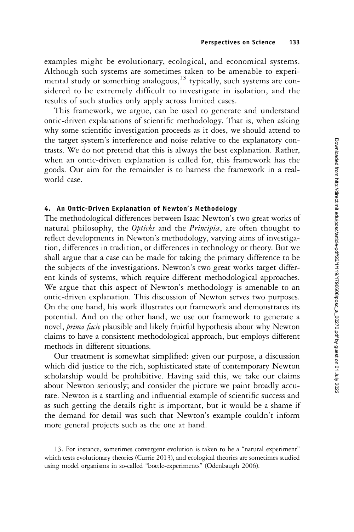examples might be evolutionary, ecological, and economical systems. Although such systems are sometimes taken to be amenable to experimental study or something analogous, $^{13}$  typically, such systems are considered to be extremely difficult to investigate in isolation, and the results of such studies only apply across limited cases.

This framework, we argue, can be used to generate and understand ontic-driven explanations of scientific methodology. That is, when asking why some scientific investigation proceeds as it does, we should attend to the target system's interference and noise relative to the explanatory contrasts. We do not pretend that this is always the best explanation. Rather, when an ontic-driven explanation is called for, this framework has the goods. Our aim for the remainder is to harness the framework in a realworld case.

## 4. An Ontic-Driven Explanation of Newton's Methodology

The methodological differences between Isaac Newton's two great works of natural philosophy, the Opticks and the Principia, are often thought to reflect developments in Newton's methodology, varying aims of investigation, differences in tradition, or differences in technology or theory. But we shall argue that a case can be made for taking the primary difference to be the subjects of the investigations. Newton's two great works target different kinds of systems, which require different methodological approaches. We argue that this aspect of Newton's methodology is amenable to an ontic-driven explanation. This discussion of Newton serves two purposes. On the one hand, his work illustrates our framework and demonstrates its potential. And on the other hand, we use our framework to generate a novel, *prima facie* plausible and likely fruitful hypothesis about why Newton claims to have a consistent methodological approach, but employs different methods in different situations.

Our treatment is somewhat simplified: given our purpose, a discussion which did justice to the rich, sophisticated state of contemporary Newton scholarship would be prohibitive. Having said this, we take our claims about Newton seriously; and consider the picture we paint broadly accurate. Newton is a startling and influential example of scientific success and as such getting the details right is important, but it would be a shame if the demand for detail was such that Newton's example couldn't inform more general projects such as the one at hand.

<sup>13.</sup> For instance, sometimes convergent evolution is taken to be a "natural experiment" which tests evolutionary theories (Currie 2013), and ecological theories are sometimes studied using model organisms in so-called "bottle-experiments" (Odenbaugh 2006).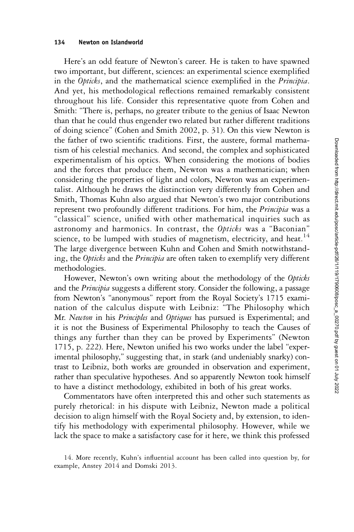#### 134 Newton on Islandworld

Here's an odd feature of Newton's career. He is taken to have spawned two important, but different, sciences: an experimental science exemplified in the Opticks, and the mathematical science exemplified in the Principia. And yet, his methodological reflections remained remarkably consistent throughout his life. Consider this representative quote from Cohen and Smith: "There is, perhaps, no greater tribute to the genius of Isaac Newton than that he could thus engender two related but rather different traditions of doing science" (Cohen and Smith 2002, p. 31). On this view Newton is the father of two scientific traditions. First, the austere, formal mathematism of his celestial mechanics. And second, the complex and sophisticated experimentalism of his optics. When considering the motions of bodies and the forces that produce them, Newton was a mathematician; when considering the properties of light and colors, Newton was an experimentalist. Although he draws the distinction very differently from Cohen and Smith, Thomas Kuhn also argued that Newton's two major contributions represent two profoundly different traditions. For him, the Principia was a "classical" science, unified with other mathematical inquiries such as astronomy and harmonics. In contrast, the Opticks was a "Baconian" science, to be lumped with studies of magnetism, electricity, and heat.<sup>14</sup> The large divergence between Kuhn and Cohen and Smith notwithstanding, the Opticks and the Principia are often taken to exemplify very different methodologies.

However, Newton's own writing about the methodology of the Opticks and the Principia suggests a different story. Consider the following, a passage from Newton's "anonymous" report from the Royal Society's 1715 examination of the calculus dispute with Leibniz: "The Philosophy which Mr. Newton in his Principles and Optiques has pursued is Experimental; and it is not the Business of Experimental Philosophy to teach the Causes of things any further than they can be proved by Experiments" (Newton 1715, p. 222). Here, Newton unified his two works under the label "experimental philosophy," suggesting that, in stark (and undeniably snarky) contrast to Leibniz, both works are grounded in observation and experiment, rather than speculative hypotheses. And so apparently Newton took himself to have a distinct methodology, exhibited in both of his great works.

Commentators have often interpreted this and other such statements as purely rhetorical: in his dispute with Leibniz, Newton made a political decision to align himself with the Royal Society and, by extension, to identify his methodology with experimental philosophy. However, while we lack the space to make a satisfactory case for it here, we think this professed

<sup>14.</sup> More recently, Kuhn's influential account has been called into question by, for example, Anstey 2014 and Domski 2013.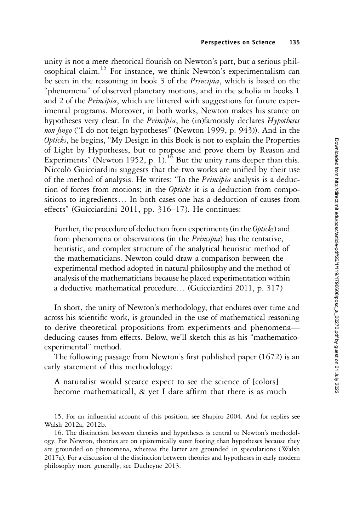unity is not a mere rhetorical flourish on Newton's part, but a serious philosophical claim.15 For instance, we think Newton's experimentalism can be seen in the reasoning in book 3 of the Principia, which is based on the "phenomena" of observed planetary motions, and in the scholia in books 1 and 2 of the *Principia*, which are littered with suggestions for future experimental programs. Moreover, in both works, Newton makes his stance on hypotheses very clear. In the Principia, he (in)famously declares Hypotheses non fingo ("I do not feign hypotheses" (Newton 1999, p. 943)). And in the Opticks, he begins, "My Design in this Book is not to explain the Properties of Light by Hypotheses, but to propose and prove them by Reason and Experiments" (Newton 1952, p. 1).<sup>16</sup> But the unity runs deeper than this. Niccolò Guicciardini suggests that the two works are unified by their use of the method of analysis. He writes: "In the *Principia* analysis is a deduction of forces from motions; in the Opticks it is a deduction from compositions to ingredients… In both cases one has a deduction of causes from effects" (Guicciardini 2011, pp. 316–17). He continues:

Further, the procedure of deduction from experiments (in the Opticks) and from phenomena or observations (in the Principia) has the tentative, heuristic, and complex structure of the analytical heuristic method of the mathematicians. Newton could draw a comparison between the experimental method adopted in natural philosophy and the method of analysis of the mathematicians because he placed experimentation within a deductive mathematical procedure… (Guicciardini 2011, p. 317)

In short, the unity of Newton's methodology, that endures over time and across his scientific work, is grounded in the use of mathematical reasoning to derive theoretical propositions from experiments and phenomena deducing causes from effects. Below, we'll sketch this as his "mathematicoexperimental" method.

The following passage from Newton's first published paper (1672) is an early statement of this methodology:

A naturalist would scearce expect to see the science of [colors] become mathematicall, & yet I dare affirm that there is as much

15. For an influential account of this position, see Shapiro 2004. And for replies see Walsh 2012a, 2012b.

16. The distinction between theories and hypotheses is central to Newton's methodology. For Newton, theories are on epistemically surer footing than hypotheses because they are grounded on phenomena, whereas the latter are grounded in speculations (Walsh 2017a). For a discussion of the distinction between theories and hypotheses in early modern philosophy more generally, see Ducheyne 2013.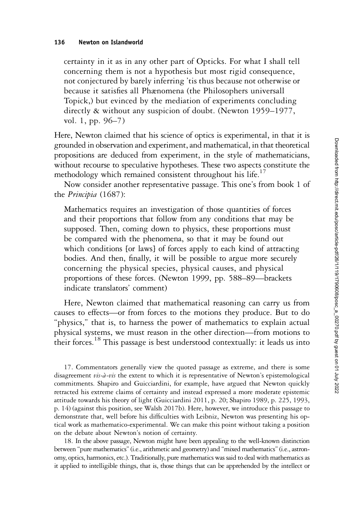certainty in it as in any other part of Opticks. For what I shall tell concerning them is not a hypothesis but most rigid consequence, not conjectured by barely inferring 'tis thus because not otherwise or because it satisfies all Phænomena (the Philosophers universall Topick,) but evinced by the mediation of experiments concluding directly & without any suspicion of doubt. (Newton 1959–1977, vol. 1, pp. 96–7)

Here, Newton claimed that his science of optics is experimental, in that it is grounded in observation and experiment, and mathematical, in that theoretical propositions are deduced from experiment, in the style of mathematicians, without recourse to speculative hypotheses. These two aspects constitute the methodology which remained consistent throughout his life.<sup>17</sup>

Now consider another representative passage. This one's from book 1 of the Principia (1687):

Mathematics requires an investigation of those quantities of forces and their proportions that follow from any conditions that may be supposed. Then, coming down to physics, these proportions must be compared with the phenomena, so that it may be found out which conditions [or laws] of forces apply to each kind of attracting bodies. And then, finally, it will be possible to argue more securely concerning the physical species, physical causes, and physical proportions of these forces. (Newton 1999, pp. 588–89—brackets indicate translators' comment)

Here, Newton claimed that mathematical reasoning can carry us from causes to effects—or from forces to the motions they produce. But to do "physics," that is, to harness the power of mathematics to explain actual physical systems, we must reason in the other direction—from motions to their forces.<sup>18</sup> This passage is best understood contextually: it leads us into

17. Commentators generally view the quoted passage as extreme, and there is some disagreement  $vis-\hat{a}-vis$  the extent to which it is representative of Newton's epistemological commitments. Shapiro and Guicciardini, for example, have argued that Newton quickly retracted his extreme claims of certainty and instead expressed a more moderate epistemic attitude towards his theory of light (Guicciardini 2011, p. 20; Shapiro 1989, p. 225, 1993, p. 14) (against this position, see Walsh 2017b). Here, however, we introduce this passage to demonstrate that, well before his difficulties with Leibniz, Newton was presenting his optical work as mathematico-experimental. We can make this point without taking a position on the debate about Newton's notion of certainty.

18. In the above passage, Newton might have been appealing to the well-known distinction between "pure mathematics"(i.e., arithmetic and geometry) and "mixed mathematics"(i.e., astronomy, optics, harmonics, etc.). Traditionally, pure mathematics was said to deal with mathematics as it applied to intelligible things, that is, those things that can be apprehended by the intellect or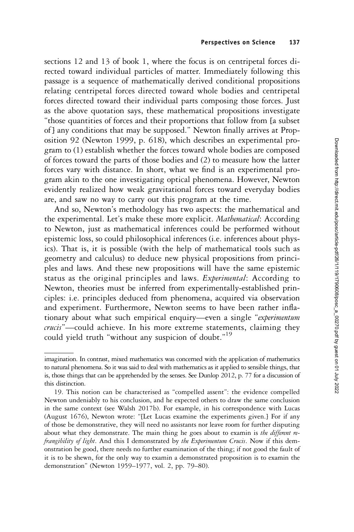sections 12 and 13 of book 1, where the focus is on centripetal forces directed toward individual particles of matter. Immediately following this passage is a sequence of mathematically derived conditional propositions relating centripetal forces directed toward whole bodies and centripetal forces directed toward their individual parts composing those forces. Just as the above quotation says, these mathematical propositions investigate "those quantities of forces and their proportions that follow from [a subset of ] any conditions that may be supposed." Newton finally arrives at Proposition 92 (Newton 1999, p. 618), which describes an experimental program to (1) establish whether the forces toward whole bodies are composed of forces toward the parts of those bodies and (2) to measure how the latter forces vary with distance. In short, what we find is an experimental program akin to the one investigating optical phenomena. However, Newton evidently realized how weak gravitational forces toward everyday bodies are, and saw no way to carry out this program at the time.

And so, Newton's methodology has two aspects: the mathematical and the experimental. Let's make these more explicit. Mathematical: According to Newton, just as mathematical inferences could be performed without epistemic loss, so could philosophical inferences (i.e. inferences about physics). That is, it is possible (with the help of mathematical tools such as geometry and calculus) to deduce new physical propositions from principles and laws. And these new propositions will have the same epistemic status as the original principles and laws. *Experimental*: According to Newton, theories must be inferred from experimentally-established principles: i.e. principles deduced from phenomena, acquired via observation and experiment. Furthermore, Newton seems to have been rather inflationary about what such empirical enquiry—even a single "experimentum crucis"—could achieve. In his more extreme statements, claiming they could yield truth "without any suspicion of doubt." 19

imagination. In contrast, mixed mathematics was concerned with the application of mathematics to natural phenomena. So it was said to deal with mathematics as it applied to sensible things, that is, those things that can be apprehended by the senses. See Dunlop 2012, p. 77 for a discussion of this distinction.

<sup>19.</sup> This notion can be characterised as "compelled assent": the evidence compelled Newton undeniably to his conclusion, and he expected others to draw the same conclusion in the same context (see Walsh 2017b). For example, in his correspondence with Lucas (August 1676), Newton wrote: "[Let Lucas examine the experiments given.] For if any of those be demonstrative, they will need no assistants nor leave room for further disputing about what they demonstrate. The main thing he goes about to examin is the different refrangibility of light. And this I demonstrated by the Experimentum Crucis. Now if this demonstration be good, there needs no further examination of the thing; if not good the fault of it is to be shewn, for the only way to examin a demonstrated proposition is to examin the demonstration" (Newton 1959–1977, vol. 2, pp. 79–80).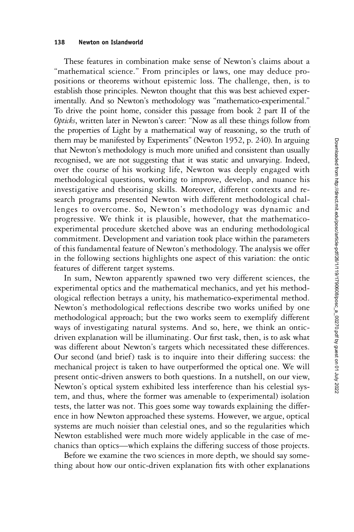#### 138 Newton on Islandworld

These features in combination make sense of Newton's claims about a "mathematical science." From principles or laws, one may deduce propositions or theorems without epistemic loss. The challenge, then, is to establish those principles. Newton thought that this was best achieved experimentally. And so Newton's methodology was "mathematico-experimental." To drive the point home, consider this passage from book 2 part II of the Opticks, written later in Newton's career: "Now as all these things follow from the properties of Light by a mathematical way of reasoning, so the truth of them may be manifested by Experiments" (Newton 1952, p. 240). In arguing that Newton's methodology is much more unified and consistent than usually recognised, we are not suggesting that it was static and unvarying. Indeed, over the course of his working life, Newton was deeply engaged with methodological questions, working to improve, develop, and nuance his investigative and theorising skills. Moreover, different contexts and research programs presented Newton with different methodological challenges to overcome. So, Newton's methodology was dynamic and progressive. We think it is plausible, however, that the mathematicoexperimental procedure sketched above was an enduring methodological commitment. Development and variation took place within the parameters of this fundamental feature of Newton's methodology. The analysis we offer in the following sections highlights one aspect of this variation: the ontic features of different target systems.

In sum, Newton apparently spawned two very different sciences, the experimental optics and the mathematical mechanics, and yet his methodological reflection betrays a unity, his mathematico-experimental method. Newton's methodological reflections describe two works unified by one methodological approach; but the two works seem to exemplify different ways of investigating natural systems. And so, here, we think an onticdriven explanation will be illuminating. Our first task, then, is to ask what was different about Newton's targets which necessitated these differences. Our second (and brief) task is to inquire into their differing success: the mechanical project is taken to have outperformed the optical one. We will present ontic-driven answers to both questions. In a nutshell, on our view, Newton's optical system exhibited less interference than his celestial system, and thus, where the former was amenable to (experimental) isolation tests, the latter was not. This goes some way towards explaining the difference in how Newton approached these systems. However, we argue, optical systems are much noisier than celestial ones, and so the regularities which Newton established were much more widely applicable in the case of mechanics than optics—which explains the differing success of those projects.

Before we examine the two sciences in more depth, we should say something about how our ontic-driven explanation fits with other explanations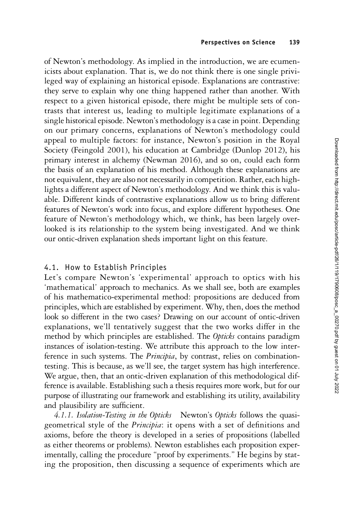of Newton's methodology. As implied in the introduction, we are ecumenicists about explanation. That is, we do not think there is one single privileged way of explaining an historical episode. Explanations are contrastive: they serve to explain why one thing happened rather than another. With respect to a given historical episode, there might be multiple sets of contrasts that interest us, leading to multiple legitimate explanations of a single historical episode. Newton's methodology is a case in point. Depending on our primary concerns, explanations of Newton's methodology could appeal to multiple factors: for instance, Newton's position in the Royal Society (Feingold 2001), his education at Cambridge (Dunlop 2012), his primary interest in alchemy (Newman 2016), and so on, could each form the basis of an explanation of his method. Although these explanations are not equivalent, they are also not necessarily in competition. Rather, each highlights a different aspect of Newton's methodology. And we think this is valuable. Different kinds of contrastive explanations allow us to bring different features of Newton's work into focus, and explore different hypotheses. One feature of Newton's methodology which, we think, has been largely overlooked is its relationship to the system being investigated. And we think our ontic-driven explanation sheds important light on this feature.

# 4.1. How to Establish Principles

Let's compare Newton's 'experimental' approach to optics with his 'mathematical' approach to mechanics. As we shall see, both are examples of his mathematico-experimental method: propositions are deduced from principles, which are established by experiment. Why, then, does the method look so different in the two cases? Drawing on our account of ontic-driven explanations, we'll tentatively suggest that the two works differ in the method by which principles are established. The Opticks contains paradigm instances of isolation-testing. We attribute this approach to the low interference in such systems. The *Principia*, by contrast, relies on combinationtesting. This is because, as we'll see, the target system has high interference. We argue, then, that an ontic-driven explanation of this methodological difference is available. Establishing such a thesis requires more work, but for our purpose of illustrating our framework and establishing its utility, availability and plausibility are sufficient.

4.1.1. Isolation-Testing in the Opticks Newton's Opticks follows the quasigeometrical style of the Principia: it opens with a set of definitions and axioms, before the theory is developed in a series of propositions (labelled as either theorems or problems). Newton establishes each proposition experimentally, calling the procedure "proof by experiments." He begins by stating the proposition, then discussing a sequence of experiments which are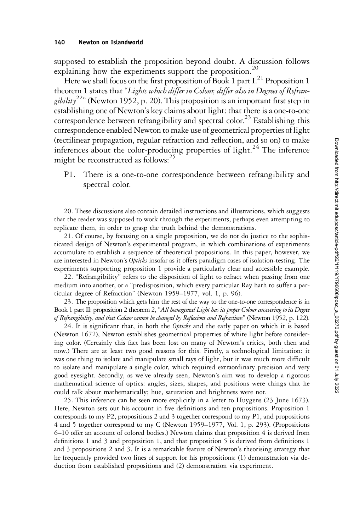supposed to establish the proposition beyond doubt. A discussion follows explaining how the experiments support the proposition.<sup>20</sup>

Here we shall focus on the first proposition of Book 1 part  $I<sup>21</sup>$  Proposition 1 theorem 1 states that "Lights which differ in Colour, differ also in Degrees of Refrangibility<sup>22</sup>" (Newton 1952, p. 20). This proposition is an important first step in establishing one of Newton's key claims about light: that there is a one-to-one correspondence between refrangibility and spectral color.<sup>23</sup> Establishing this correspondence enabled Newton to make use of geometrical properties of light (rectilinear propagation, regular refraction and reflection, and so on) to make inferences about the color-producing properties of light.<sup>24</sup> The inference might be reconstructed as follows:<sup>25</sup>

P1. There is a one-to-one correspondence between refrangibility and spectral color.

20. These discussions also contain detailed instructions and illustrations, which suggests that the reader was supposed to work through the experiments, perhaps even attempting to replicate them, in order to grasp the truth behind the demonstrations.

21. Of course, by focusing on a single proposition, we do not do justice to the sophisticated design of Newton's experimental program, in which combinations of experiments accumulate to establish a sequence of theoretical propositions. In this paper, however, we are interested in Newton's Opticks insofar as it offers paradigm cases of isolation-testing. The experiments supporting proposition 1 provide a particularly clear and accessible example.

22. "Refrangibility" refers to the disposition of light to refract when passing from one medium into another, or a "predisposition, which every particular Ray hath to suffer a particular degree of Refraction" (Newton 1959–1977, vol. 1, p. 96).

23. The proposition which gets him the rest of the way to the one-to-one correspondence is in Book 1 part II: proposition 2 theorem 2, "All homogeneal Light has its proper Colour answering to its Degree of Refrangibility, and that Colour cannot be changed by Reflexions and Refractions" (Newton 1952, p. 122).

24. It is significant that, in both the *Opticks* and the early paper on which it is based (Newton 1672), Newton establishes geometrical properties of white light before considering color. (Certainly this fact has been lost on many of Newton's critics, both then and now.) There are at least two good reasons for this. Firstly, a technological limitation: it was one thing to isolate and manipulate small rays of light, but it was much more difficult to isolate and manipulate a single color, which required extraordinary precision and very good eyesight. Secondly, as we've already seen, Newton's aim was to develop a rigorous mathematical science of optics: angles, sizes, shapes, and positions were things that he could talk about mathematically; hue, saturation and brightness were not.

25. This inference can be seen more explicitly in a letter to Huygens (23 June 1673). Here, Newton sets out his account in five definitions and ten propositions. Proposition 1 corresponds to my P2, propositions 2 and 3 together correspond to my P1, and propositions 4 and 5 together correspond to my C (Newton 1959–1977, Vol. 1, p. 293). (Propositions 6–10 offer an account of colored bodies.) Newton claims that proposition 4 is derived from definitions 1 and 3 and proposition 1, and that proposition 5 is derived from definitions 1 and 3 propositions 2 and 3. It is a remarkable feature of Newton's theorising strategy that he frequently provided two lines of support for his propositions: (1) demonstration via deduction from established propositions and (2) demonstration via experiment.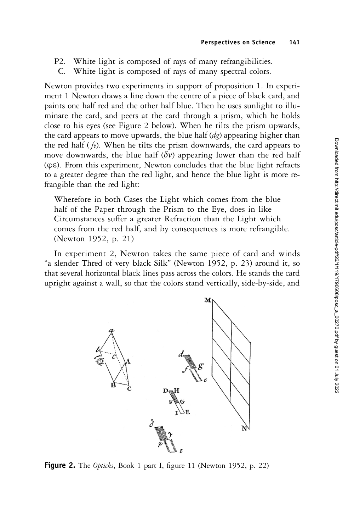- P2. White light is composed of rays of many refrangibilities.
- C. White light is composed of rays of many spectral colors.

Newton provides two experiments in support of proposition 1. In experiment 1 Newton draws a line down the centre of a piece of black card, and paints one half red and the other half blue. Then he uses sunlight to illuminate the card, and peers at the card through a prism, which he holds close to his eyes (see Figure 2 below). When he tilts the prism upwards, the card appears to move upwards, the blue half  $(dg)$  appearing higher than the red half  $(\hat{f}_e)$ . When he tilts the prism downwards, the card appears to move downwards, the blue half ( $\delta v$ ) appearing lower than the red half (φε). From this experiment, Newton concludes that the blue light refracts to a greater degree than the red light, and hence the blue light is more refrangible than the red light:

Wherefore in both Cases the Light which comes from the blue half of the Paper through the Prism to the Eye, does in like Circumstances suffer a greater Refraction than the Light which comes from the red half, and by consequences is more refrangible. (Newton 1952, p. 21)

In experiment 2, Newton takes the same piece of card and winds "a slender Thred of very black Silk" (Newton 1952, p. 23) around it, so that several horizontal black lines pass across the colors. He stands the card upright against a wall, so that the colors stand vertically, side-by-side, and



Figure 2. The Opticks, Book 1 part I, figure 11 (Newton 1952, p. 22)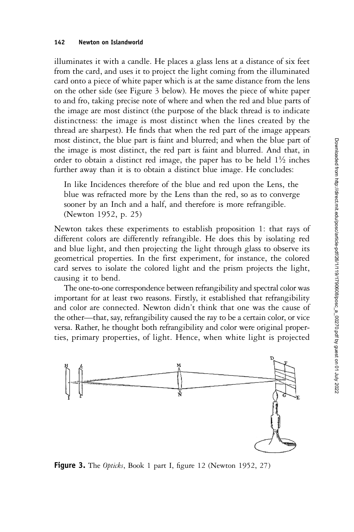illuminates it with a candle. He places a glass lens at a distance of six feet from the card, and uses it to project the light coming from the illuminated card onto a piece of white paper which is at the same distance from the lens on the other side (see Figure 3 below). He moves the piece of white paper to and fro, taking precise note of where and when the red and blue parts of the image are most distinct (the purpose of the black thread is to indicate distinctness: the image is most distinct when the lines created by the thread are sharpest). He finds that when the red part of the image appears most distinct, the blue part is faint and blurred; and when the blue part of the image is most distinct, the red part is faint and blurred. And that, in order to obtain a distinct red image, the paper has to be held  $1\frac{1}{2}$  inches further away than it is to obtain a distinct blue image. He concludes:

In like Incidences therefore of the blue and red upon the Lens, the blue was refracted more by the Lens than the red, so as to converge sooner by an Inch and a half, and therefore is more refrangible. (Newton 1952, p. 25)

Newton takes these experiments to establish proposition 1: that rays of different colors are differently refrangible. He does this by isolating red and blue light, and then projecting the light through glass to observe its geometrical properties. In the first experiment, for instance, the colored card serves to isolate the colored light and the prism projects the light, causing it to bend.

The one-to-one correspondence between refrangibility and spectral color was important for at least two reasons. Firstly, it established that refrangibility and color are connected. Newton didn't think that one was the cause of the other—that, say, refrangibility caused the ray to be a certain color, or vice versa. Rather, he thought both refrangibility and color were original properties, primary properties, of light. Hence, when white light is projected



Figure 3. The Opticks, Book 1 part I, figure 12 (Newton 1952, 27)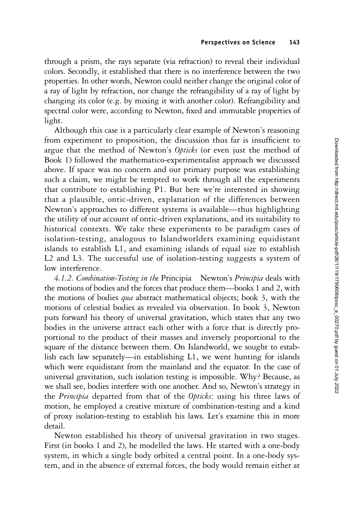through a prism, the rays separate (via refraction) to reveal their individual colors. Secondly, it established that there is no interference between the two properties. In other words, Newton could neither change the original color of a ray of light by refraction, nor change the refrangibility of a ray of light by changing its color (e.g. by mixing it with another color). Refrangibility and spectral color were, according to Newton, fixed and immutable properties of light.

Although this case is a particularly clear example of Newton's reasoning from experiment to proposition, the discussion thus far is insufficient to argue that the method of Newton's Opticks (or even just the method of Book 1) followed the mathematico-experimentalist approach we discussed above. If space was no concern and our primary purpose was establishing such a claim, we might be tempted to work through all the experiments that contribute to establishing P1. But here we're interested in showing that a plausible, ontic-driven, explanation of the differences between Newton's approaches to different systems is available—thus highlighting the utility of our account of ontic-driven explanations, and its suitability to historical contexts. We take these experiments to be paradigm cases of isolation-testing, analogous to Islandworlders examining equidistant islands to establish L1, and examining islands of equal size to establish L2 and L3. The successful use of isolation-testing suggests a system of low interference.

4.1.2. Combination-Testing in the Principia Newton's Principia deals with the motions of bodies and the forces that produce them—books 1 and 2, with the motions of bodies *qua* abstract mathematical objects; book 3, with the motions of celestial bodies as revealed via observation. In book 3, Newton puts forward his theory of universal gravitation, which states that any two bodies in the universe attract each other with a force that is directly proportional to the product of their masses and inversely proportional to the square of the distance between them. On Islandworld, we sought to establish each law separately—in establishing L1, we went hunting for islands which were equidistant from the mainland and the equator. In the case of universal gravitation, such isolation testing is impossible. Why? Because, as we shall see, bodies interfere with one another. And so, Newton's strategy in the Principia departed from that of the Opticks: using his three laws of motion, he employed a creative mixture of combination-testing and a kind of proxy isolation-testing to establish his laws. Let's examine this in more detail.

Newton established his theory of universal gravitation in two stages. First (in books 1 and 2), he modelled the laws. He started with a one-body system, in which a single body orbited a central point. In a one-body system, and in the absence of external forces, the body would remain either at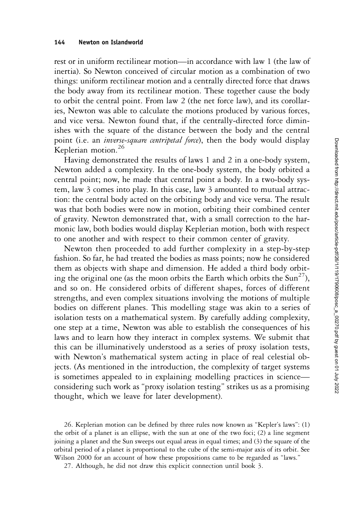rest or in uniform rectilinear motion—in accordance with law 1 (the law of inertia). So Newton conceived of circular motion as a combination of two things: uniform rectilinear motion and a centrally directed force that draws the body away from its rectilinear motion. These together cause the body to orbit the central point. From law 2 (the net force law), and its corollaries, Newton was able to calculate the motions produced by various forces, and vice versa. Newton found that, if the centrally-directed force diminishes with the square of the distance between the body and the central point (i.e. an *inverse-square centripetal force*), then the body would display Keplerian motion.<sup>26</sup>

Having demonstrated the results of laws 1 and 2 in a one-body system, Newton added a complexity. In the one-body system, the body orbited a central point; now, he made that central point a body. In a two-body system, law 3 comes into play. In this case, law 3 amounted to mutual attraction: the central body acted on the orbiting body and vice versa. The result was that both bodies were now in motion, orbiting their combined center of gravity. Newton demonstrated that, with a small correction to the harmonic law, both bodies would display Keplerian motion, both with respect to one another and with respect to their common center of gravity.

Newton then proceeded to add further complexity in a step-by-step fashion. So far, he had treated the bodies as mass points; now he considered them as objects with shape and dimension. He added a third body orbiting the original one (as the moon orbits the Earth which orbits the  $\text{Sun}^{27}$ ), and so on. He considered orbits of different shapes, forces of different strengths, and even complex situations involving the motions of multiple bodies on different planes. This modelling stage was akin to a series of isolation tests on a mathematical system. By carefully adding complexity, one step at a time, Newton was able to establish the consequences of his laws and to learn how they interact in complex systems. We submit that this can be illuminatively understood as a series of proxy isolation tests, with Newton's mathematical system acting in place of real celestial objects. (As mentioned in the introduction, the complexity of target systems is sometimes appealed to in explaining modelling practices in science considering such work as "proxy isolation testing" strikes us as a promising thought, which we leave for later development).

26. Keplerian motion can be defined by three rules now known as "Kepler's laws": (1) the orbit of a planet is an ellipse, with the sun at one of the two foci; (2) a line segment joining a planet and the Sun sweeps out equal areas in equal times; and (3) the square of the orbital period of a planet is proportional to the cube of the semi-major axis of its orbit. See Wilson 2000 for an account of how these propositions came to be regarded as "laws."

27. Although, he did not draw this explicit connection until book 3.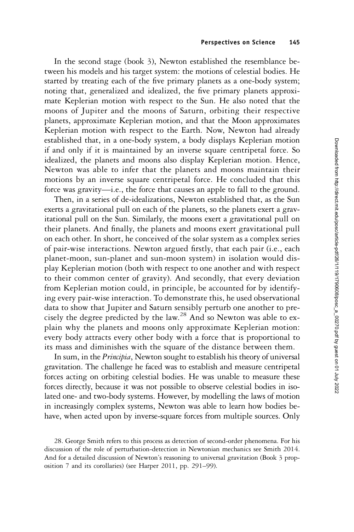In the second stage (book 3), Newton established the resemblance between his models and his target system: the motions of celestial bodies. He started by treating each of the five primary planets as a one-body system; noting that, generalized and idealized, the five primary planets approximate Keplerian motion with respect to the Sun. He also noted that the moons of Jupiter and the moons of Saturn, orbiting their respective planets, approximate Keplerian motion, and that the Moon approximates Keplerian motion with respect to the Earth. Now, Newton had already established that, in a one-body system, a body displays Keplerian motion if and only if it is maintained by an inverse square centripetal force. So idealized, the planets and moons also display Keplerian motion. Hence, Newton was able to infer that the planets and moons maintain their motions by an inverse square centripetal force. He concluded that this force was gravity—i.e., the force that causes an apple to fall to the ground.

Then, in a series of de-idealizations, Newton established that, as the Sun exerts a gravitational pull on each of the planets, so the planets exert a gravitational pull on the Sun. Similarly, the moons exert a gravitational pull on their planets. And finally, the planets and moons exert gravitational pull on each other. In short, he conceived of the solar system as a complex series of pair-wise interactions. Newton argued firstly, that each pair (i.e., each planet-moon, sun-planet and sun-moon system) in isolation would display Keplerian motion (both with respect to one another and with respect to their common center of gravity). And secondly, that every deviation from Keplerian motion could, in principle, be accounted for by identifying every pair-wise interaction. To demonstrate this, he used observational data to show that Jupiter and Saturn sensibly perturb one another to precisely the degree predicted by the law.<sup>28</sup> And so Newton was able to explain why the planets and moons only approximate Keplerian motion: every body attracts every other body with a force that is proportional to its mass and diminishes with the square of the distance between them.

In sum, in the Principia, Newton sought to establish his theory of universal gravitation. The challenge he faced was to establish and measure centripetal forces acting on orbiting celestial bodies. He was unable to measure these forces directly, because it was not possible to observe celestial bodies in isolated one- and two-body systems. However, by modelling the laws of motion in increasingly complex systems, Newton was able to learn how bodies behave, when acted upon by inverse-square forces from multiple sources. Only

28. George Smith refers to this process as detection of second-order phenomena. For his discussion of the role of perturbation-detection in Newtonian mechanics see Smith 2014. And for a detailed discussion of Newton's reasoning to universal gravitation (Book 3 proposition 7 and its corollaries) (see Harper 2011, pp. 291–99).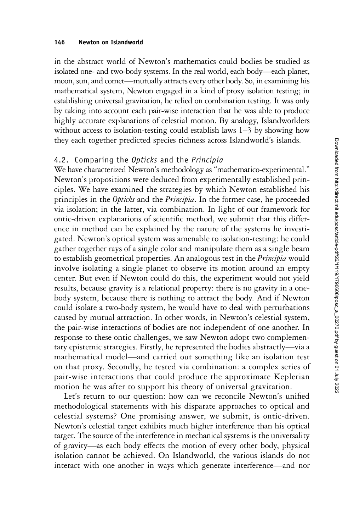in the abstract world of Newton's mathematics could bodies be studied as isolated one- and two-body systems. In the real world, each body—each planet, moon, sun, and comet—mutually attracts every other body. So, in examining his mathematical system, Newton engaged in a kind of proxy isolation testing; in establishing universal gravitation, he relied on combination testing. It was only by taking into account each pair-wise interaction that he was able to produce highly accurate explanations of celestial motion. By analogy, Islandworlders without access to isolation-testing could establish laws 1–3 by showing how they each together predicted species richness across Islandworld's islands.

## 4.2. Comparing the Opticks and the Principia

We have characterized Newton's methodology as "mathematico-experimental." Newton's propositions were deduced from experimentally established principles. We have examined the strategies by which Newton established his principles in the Opticks and the Principia. In the former case, he proceeded via isolation; in the latter, via combination. In light of our framework for ontic-driven explanations of scientific method, we submit that this difference in method can be explained by the nature of the systems he investigated. Newton's optical system was amenable to isolation-testing: he could gather together rays of a single color and manipulate them as a single beam to establish geometrical properties. An analogous test in the Principia would involve isolating a single planet to observe its motion around an empty center. But even if Newton could do this, the experiment would not yield results, because gravity is a relational property: there is no gravity in a onebody system, because there is nothing to attract the body. And if Newton could isolate a two-body system, he would have to deal with perturbations caused by mutual attraction. In other words, in Newton's celestial system, the pair-wise interactions of bodies are not independent of one another. In response to these ontic challenges, we saw Newton adopt two complementary epistemic strategies. Firstly, he represented the bodies abstractly—via a mathematical model—and carried out something like an isolation test on that proxy. Secondly, he tested via combination: a complex series of pair-wise interactions that could produce the approximate Keplerian motion he was after to support his theory of universal gravitation.

Let's return to our question: how can we reconcile Newton's unified methodological statements with his disparate approaches to optical and celestial systems? One promising answer, we submit, is ontic-driven. Newton's celestial target exhibits much higher interference than his optical target. The source of the interference in mechanical systems is the universality of gravity—as each body effects the motion of every other body, physical isolation cannot be achieved. On Islandworld, the various islands do not interact with one another in ways which generate interference—and nor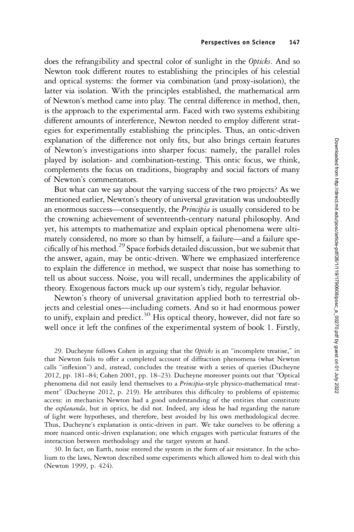does the refrangibility and spectral color of sunlight in the Opticks. And so Newton took different routes to establishing the principles of his celestial and optical systems: the former via combination (and proxy-isolation), the latter via isolation. With the principles established, the mathematical arm of Newton's method came into play. The central difference in method, then, is the approach to the experimental arm. Faced with two systems exhibiting different amounts of interference, Newton needed to employ different strategies for experimentally establishing the principles. Thus, an ontic-driven explanation of the difference not only fits, but also brings certain features of Newton's investigations into sharper focus: namely, the parallel roles played by isolation- and combination-testing. This ontic focus, we think, complements the focus on traditions, biography and social factors of many of Newton's commentators.

But what can we say about the varying success of the two projects? As we mentioned earlier, Newton's theory of universal gravitation was undoubtedly an enormous success—consequently, the *Principia* is usually considered to be the crowning achievement of seventeenth-century natural philosophy. And yet, his attempts to mathematize and explain optical phenomena were ultimately considered, no more so than by himself, a failure—and a failure specifically of his method.<sup>29</sup> Space forbids detailed discussion, but we submit that the answer, again, may be ontic-driven. Where we emphasized interference to explain the difference in method, we suspect that noise has something to tell us about success. Noise, you will recall, undermines the applicability of theory. Exogenous factors muck up our system's tidy, regular behavior.

Newton's theory of universal gravitation applied both to terrestrial objects and celestial ones—including comets. And so it had enormous power to unify, explain and predict.<sup>30</sup> His optical theory, however, did not fare so well once it left the confines of the experimental system of book 1. Firstly,

29. Ducheyne follows Cohen in arguing that the Opticks is an "incomplete treatise," in that Newton fails to offer a completed account of diffraction phenomena (what Newton calls "inflexion") and, instead, concludes the treatise with a series of queries (Ducheyne 2012, pp. 181–84; Cohen 2001, pp. 18–23). Ducheyne moreover points out that "Optical phenomena did not easily lend themselves to a Principia-style physico-mathematical treatment" (Ducheyne 2012, p. 219). He attributes this difficulty to problems of epistemic access: in mechanics Newton had a good understanding of the entities that constitute the *explananda*, but in optics, he did not. Indeed, any ideas he had regarding the nature of light were hypotheses, and therefore, best avoided by his own methodological decree. Thus, Ducheyne's explanation is ontic-driven in part. We take ourselves to be offering a more nuanced ontic-driven explanation; one which engages with particular features of the interaction between methodology and the target system at hand.

30. In fact, on Earth, noise entered the system in the form of air resistance. In the scholium to the laws, Newton described some experiments which allowed him to deal with this (Newton 1999, p. 424).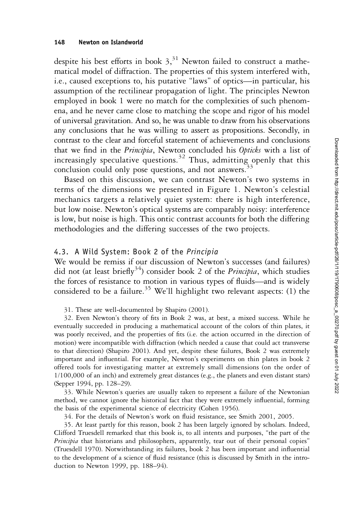despite his best efforts in book  $3<sup>31</sup>$  Newton failed to construct a mathematical model of diffraction. The properties of this system interfered with, i.e., caused exceptions to, his putative "laws" of optics—in particular, his assumption of the rectilinear propagation of light. The principles Newton employed in book 1 were no match for the complexities of such phenomena, and he never came close to matching the scope and rigor of his model of universal gravitation. And so, he was unable to draw from his observations any conclusions that he was willing to assert as propositions. Secondly, in contrast to the clear and forceful statement of achievements and conclusions that we find in the *Principia*, Newton concluded his Opticks with a list of increasingly speculative questions.<sup>32</sup> Thus, admitting openly that this conclusion could only pose questions, and not answers.<sup>3</sup>

Based on this discussion, we can contrast Newton's two systems in terms of the dimensions we presented in Figure 1. Newton's celestial mechanics targets a relatively quiet system: there is high interference, but low noise. Newton's optical systems are comparably noisy: interference is low, but noise is high. This ontic contrast accounts for both the differing methodologies and the differing successes of the two projects.

#### 4.3. A Wild System: Book 2 of the Principia

We would be remiss if our discussion of Newton's successes (and failures) did not (at least briefly<sup>34</sup>) consider book 2 of the *Principia*, which studies the forces of resistance to motion in various types of fluids—and is widely considered to be a failure.<sup>35</sup> We'll highlight two relevant aspects: (1) the

31. These are well-documented by Shapiro (2001).

32. Even Newton's theory of fits in Book 2 was, at best, a mixed success. While he eventually succeeded in producing a mathematical account of the colors of thin plates, it was poorly received, and the properties of fits (i.e. the action occurred in the direction of motion) were incompatible with diffraction (which needed a cause that could act transverse to that direction) (Shapiro 2001). And yet, despite these failures, Book 2 was extremely important and influential. For example, Newton's experiments on thin plates in book 2 offered tools for investigating matter at extremely small dimensions (on the order of  $1/100,000$  of an inch) and extremely great distances (e.g., the planets and even distant stars) (Sepper 1994, pp. 128–29).

33. While Newton's queries are usually taken to represent a failure of the Newtonian method, we cannot ignore the historical fact that they were extremely influential, forming the basis of the experimental science of electricity (Cohen 1956).

34. For the details of Newton's work on fluid resistance, see Smith 2001, 2005.

35. At least partly for this reason, book 2 has been largely ignored by scholars. Indeed, Clifford Truesdell remarked that this book is, to all intents and purposes, "the part of the Principia that historians and philosophers, apparently, tear out of their personal copies" (Truesdell 1970). Notwithstanding its failures, book 2 has been important and influential to the development of a science of fluid resistance (this is discussed by Smith in the introduction to Newton 1999, pp. 188–94).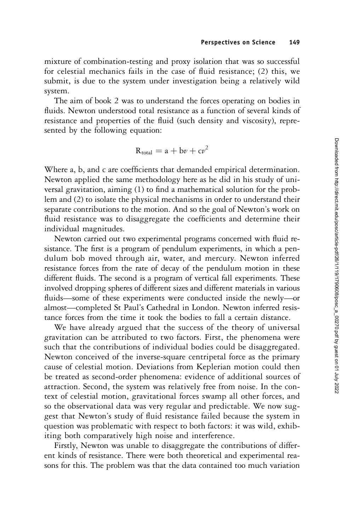mixture of combination-testing and proxy isolation that was so successful for celestial mechanics fails in the case of fluid resistance; (2) this, we submit, is due to the system under investigation being a relatively wild system.

The aim of book 2 was to understand the forces operating on bodies in fluids. Newton understood total resistance as a function of several kinds of resistance and properties of the fluid (such density and viscosity), represented by the following equation:

$$
R_{\text{total}} = a + b\nu + c\nu^2
$$

Where a, b, and c are coefficients that demanded empirical determination. Newton applied the same methodology here as he did in his study of universal gravitation, aiming (1) to find a mathematical solution for the problem and (2) to isolate the physical mechanisms in order to understand their separate contributions to the motion. And so the goal of Newton's work on fluid resistance was to disaggregate the coefficients and determine their individual magnitudes.

Newton carried out two experimental programs concerned with fluid resistance. The first is a program of pendulum experiments, in which a pendulum bob moved through air, water, and mercury. Newton inferred resistance forces from the rate of decay of the pendulum motion in these different fluids. The second is a program of vertical fall experiments. These involved dropping spheres of different sizes and different materials in various fluids—some of these experiments were conducted inside the newly—or almost—completed St Paul's Cathedral in London. Newton inferred resistance forces from the time it took the bodies to fall a certain distance.

We have already argued that the success of the theory of universal gravitation can be attributed to two factors. First, the phenomena were such that the contributions of individual bodies could be disaggregated. Newton conceived of the inverse-square centripetal force as the primary cause of celestial motion. Deviations from Keplerian motion could then be treated as second-order phenomena: evidence of additional sources of attraction. Second, the system was relatively free from noise. In the context of celestial motion, gravitational forces swamp all other forces, and so the observational data was very regular and predictable. We now suggest that Newton's study of fluid resistance failed because the system in question was problematic with respect to both factors: it was wild, exhibiting both comparatively high noise and interference.

Firstly, Newton was unable to disaggregate the contributions of different kinds of resistance. There were both theoretical and experimental reasons for this. The problem was that the data contained too much variation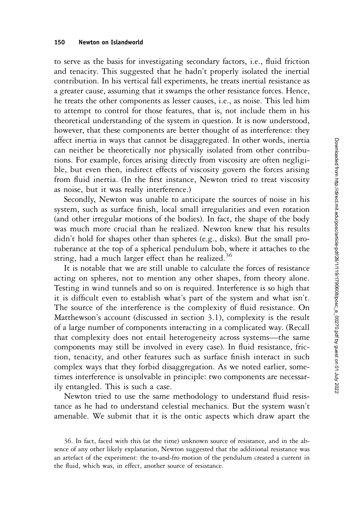to serve as the basis for investigating secondary factors, i.e., fluid friction and tenacity. This suggested that he hadn't properly isolated the inertial contribution. In his vertical fall experiments, he treats inertial resistance as a greater cause, assuming that it swamps the other resistance forces. Hence, he treats the other components as lesser causes, i.e., as noise. This led him to attempt to control for those features, that is, not include them in his theoretical understanding of the system in question. It is now understood, however, that these components are better thought of as interference: they affect inertia in ways that cannot be disaggregated. In other words, inertia can neither be theoretically nor physically isolated from other contributions. For example, forces arising directly from viscosity are often negligible, but even then, indirect effects of viscosity govern the forces arising from fluid inertia. (In the first instance, Newton tried to treat viscosity as noise, but it was really interference.)

Secondly, Newton was unable to anticipate the sources of noise in his system, such as surface finish, local small irregularities and even rotation (and other irregular motions of the bodies). In fact, the shape of the body was much more crucial than he realized. Newton knew that his results didn't hold for shapes other than spheres (e.g., disks). But the small protuberance at the top of a spherical pendulum bob, where it attaches to the string, had a much larger effect than he realized.<sup>36</sup>

It is notable that we are still unable to calculate the forces of resistance acting on spheres, not to mention any other shapes, from theory alone. Testing in wind tunnels and so on is required. Interference is so high that it is difficult even to establish what's part of the system and what isn't. The source of the interference is the complexity of fluid resistance. On Matthewson's account (discussed in section 3.1), complexity is the result of a large number of components interacting in a complicated way. (Recall that complexity does not entail heterogeneity across systems—the same components may still be involved in every case). In fluid resistance, friction, tenacity, and other features such as surface finish interact in such complex ways that they forbid disaggregation. As we noted earlier, sometimes interference is unsolvable in principle: two components are necessarily entangled. This is such a case.

Newton tried to use the same methodology to understand fluid resistance as he had to understand celestial mechanics. But the system wasn't amenable. We submit that it is the ontic aspects which draw apart the

<sup>36.</sup> In fact, faced with this (at the time) unknown source of resistance, and in the absence of any other likely explanation, Newton suggested that the additional resistance was an artefact of the experiment: the to-and-fro motion of the pendulum created a current in the fluid, which was, in effect, another source of resistance.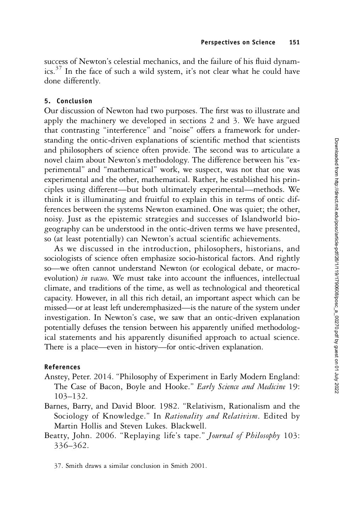success of Newton's celestial mechanics, and the failure of his fluid dynamics.<sup>37</sup> In the face of such a wild system, it's not clear what he could have done differently.

#### 5. Conclusion

Our discussion of Newton had two purposes. The first was to illustrate and apply the machinery we developed in sections 2 and 3. We have argued that contrasting "interference" and "noise" offers a framework for understanding the ontic-driven explanations of scientific method that scientists and philosophers of science often provide. The second was to articulate a novel claim about Newton's methodology. The difference between his "experimental" and "mathematical" work, we suspect, was not that one was experimental and the other, mathematical. Rather, he established his principles using different—but both ultimately experimental—methods. We think it is illuminating and fruitful to explain this in terms of ontic differences between the systems Newton examined. One was quiet; the other, noisy. Just as the epistemic strategies and successes of Islandworld biogeography can be understood in the ontic-driven terms we have presented, so (at least potentially) can Newton's actual scientific achievements.

As we discussed in the introduction, philosophers, historians, and sociologists of science often emphasize socio-historical factors. And rightly so—we often cannot understand Newton (or ecological debate, or macroevolution) in vacuo. We must take into account the influences, intellectual climate, and traditions of the time, as well as technological and theoretical capacity. However, in all this rich detail, an important aspect which can be missed—or at least left underemphasized—is the nature of the system under investigation. In Newton's case, we saw that an ontic-driven explanation potentially defuses the tension between his apparently unified methodological statements and his apparently disunified approach to actual science. There is a place—even in history—for ontic-driven explanation.

#### References

- Anstey, Peter. 2014. "Philosophy of Experiment in Early Modern England: The Case of Bacon, Boyle and Hooke." Early Science and Medicine 19: 103–132.
- Barnes, Barry, and David Bloor. 1982. "Relativism, Rationalism and the Sociology of Knowledge." In *Rationality and Relativism*. Edited by Martin Hollis and Steven Lukes. Blackwell.
- Beatty, John. 2006. "Replaying life's tape." Journal of Philosophy 103: 336–362.

37. Smith draws a similar conclusion in Smith 2001.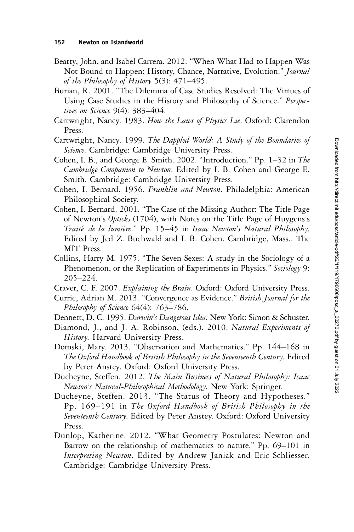- Beatty, John, and Isabel Carrera. 2012. "When What Had to Happen Was Not Bound to Happen: History, Chance, Narrative, Evolution." Journal of the Philosophy of History 5(3): 471–495.
- Burian, R. 2001. "The Dilemma of Case Studies Resolved: The Virtues of Using Case Studies in the History and Philosophy of Science." *Perspec*tives on Science 9(4): 383-404.
- Cartwright, Nancy. 1983. How the Laws of Physics Lie. Oxford: Clarendon Press.
- Cartwright, Nancy. 1999. The Dappled World: A Study of the Boundaries of Science. Cambridge: Cambridge University Press.
- Cohen, I. B., and George E. Smith. 2002. "Introduction." Pp. 1–32 in The Cambridge Companion to Newton. Edited by I. B. Cohen and George E. Smith. Cambridge: Cambridge University Press.
- Cohen, I. Bernard. 1956. Franklin and Newton. Philadelphia: American Philosophical Society.
- Cohen, I. Bernard. 2001. "The Case of the Missing Author: The Title Page of Newton's Opticks (1704), with Notes on the Title Page of Huygens's Traité de la lumière." Pp. 15–45 in Isaac Newton's Natural Philosophy. Edited by Jed Z. Buchwald and I. B. Cohen. Cambridge, Mass.: The MIT Press.
- Collins, Harry M. 1975. "The Seven Sexes: A study in the Sociology of a Phenomenon, or the Replication of Experiments in Physics." Sociology 9: 205–224.
- Craver, C. F. 2007. Explaining the Brain. Oxford: Oxford University Press.
- Currie, Adrian M. 2013. "Convergence as Evidence." British Journal for the Philosophy of Science 64(4): 763-786.
- Dennett, D. C. 1995. Darwin's Dangerous Idea. New York: Simon & Schuster.
- Diamond, J., and J. A. Robinson, (eds.). 2010. Natural Experiments of History. Harvard University Press.
- Domski, Mary. 2013. "Observation and Mathematics." Pp. 144–168 in The Oxford Handbook of British Philosophy in the Seventeenth Century. Edited by Peter Anstey. Oxford: Oxford University Press.
- Ducheyne, Steffen. 2012. The Main Business of Natural Philosophy: Isaac Newton's Natural-Philosophical Methodology. New York: Springer.
- Ducheyne, Steffen. 2013. "The Status of Theory and Hypotheses." Pp. 169–191 in The Oxford Handbook of British Philosophy in the Seventeenth Century. Edited by Peter Anstey. Oxford: Oxford University Press.
- Dunlop, Katherine. 2012. "What Geometry Postulates: Newton and Barrow on the relationship of mathematics to nature." Pp. 69–101 in Interpreting Newton. Edited by Andrew Janiak and Eric Schliesser. Cambridge: Cambridge University Press.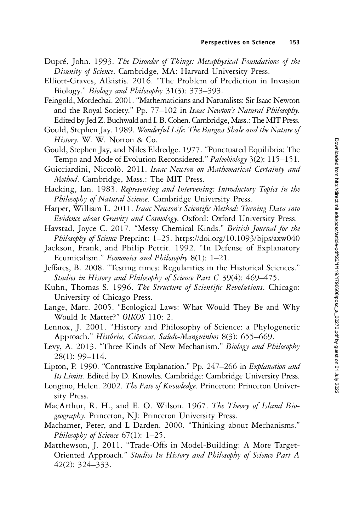- Dupré, John. 1993. The Disorder of Things: Metaphysical Foundations of the Disunity of Science. Cambridge, MA: Harvard University Press.
- Elliott-Graves, Alkistis. 2016. "The Problem of Prediction in Invasion Biology." Biology and Philosophy 31(3): 373-393.
- Feingold, Mordechai. 2001. "Mathematicians and Naturalists: Sir Isaac Newton and the Royal Society." Pp. 77–102 in Isaac Newton's Natural Philosophy. Edited by Jed Z. Buchwald and I. B. Cohen. Cambridge, Mass.: The MIT Press.
- Gould, Stephen Jay. 1989. Wonderful Life: The Burgess Shale and the Nature of History. W. W. Norton & Co.
- Gould, Stephen Jay, and Niles Eldredge. 1977. "Punctuated Equilibria: The Tempo and Mode of Evolution Reconsidered." *Paleobiology* 3(2): 115–151.
- Guicciardini, Niccolò. 2011. Isaac Newton on Mathematical Certainty and Method. Cambridge, Mass.: The MIT Press.
- Hacking, Ian. 1983. Representing and Intervening: Introductory Topics in the Philosophy of Natural Science. Cambridge University Press.
- Harper, William L. 2011. Isaac Newton's Scientific Method: Turning Data into Evidence about Gravity and Cosmology. Oxford: Oxford University Press.
- Havstad, Joyce C. 2017. "Messy Chemical Kinds." British Journal for the Philosophy of Science Preprint: 1-25. https://doi.org/10.1093/bjps/axw040
- Jackson, Frank, and Philip Pettit. 1992. "In Defense of Explanatory Ecumicalism." Economics and Philosophy 8(1): 1–21.
- Jeffares, B. 2008. "Testing times: Regularities in the Historical Sciences." Studies in History and Philosophy of Science Part C 39(4): 469–475.
- Kuhn, Thomas S. 1996. The Structure of Scientific Revolutions. Chicago: University of Chicago Press.
- Lange, Marc. 2005. "Ecological Laws: What Would They Be and Why Would It Matter?" OIKOS 110: 2.
- Lennox, J. 2001. "History and Philosophy of Science: a Phylogenetic Approach." História, Ciências, Saúde-Manguinhos 8(3): 655-669.
- Levy, A. 2013. "Three Kinds of New Mechanism." Biology and Philosophy 28(1): 99–114.
- Lipton, P. 1990. "Contrastive Explanation." Pp. 247–266 in Explanation and Its Limits. Edited by D. Knowles. Cambridge: Cambridge University Press.
- Longino, Helen. 2002. The Fate of Knowledge. Princeton: Princeton University Press.
- MacArthur, R. H., and E. O. Wilson. 1967. The Theory of Island Biogeography. Princeton, NJ: Princeton University Press.
- Machamer, Peter, and L Darden. 2000. "Thinking about Mechanisms." Philosophy of Science 67(1): 1–25.
- Matthewson, J. 2011. "Trade-Offs in Model-Building: A More Target-Oriented Approach." Studies In History and Philosophy of Science Part A 42(2): 324–333.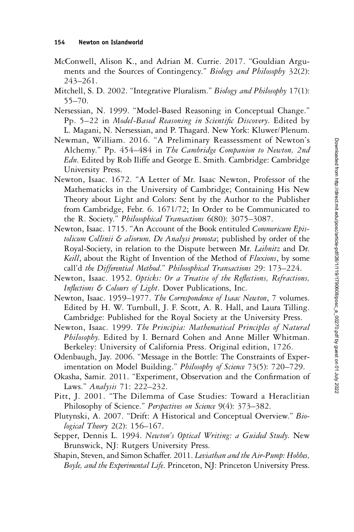- McConwell, Alison K., and Adrian M. Currie. 2017. "Gouldian Arguments and the Sources of Contingency." Biology and Philosophy 32(2): 243–261.
- Mitchell, S. D. 2002. "Integrative Pluralism." Biology and Philosophy 17(1): 55–70.
- Nersessian, N. 1999. "Model-Based Reasoning in Conceptual Change." Pp. 5–22 in Model-Based Reasoning in Scientific Discovery. Edited by L. Magani, N. Nersessian, and P. Thagard. New York: Kluwer/Plenum.
- Newman, William. 2016. "A Preliminary Reassessment of Newton's Alchemy." Pp. 454–484 in The Cambridge Companion to Newton, 2nd Edn. Edited by Rob Iliffe and George E. Smith. Cambridge: Cambridge University Press.
- Newton, Isaac. 1672. "A Letter of Mr. Isaac Newton, Professor of the Mathematicks in the University of Cambridge; Containing His New Theory about Light and Colors: Sent by the Author to the Publisher from Cambridge, Febr. 6. 1671/72; In Order to be Communicated to the R. Society." Philosophical Transactions 6(80): 3075–3087.
- Newton, Isaac. 1715. "An Account of the Book entituled Commericum Epistolicum Collinii & aliorum, De Analysi promota; published by order of the Royal-Society, in relation to the Dispute between Mr. Leibnitz and Dr. Keill, about the Right of Invention of the Method of Fluxions, by some call'd the Differential Method." Philosophical Transactions 29: 173–224.
- Newton, Isaac. 1952. Opticks: Or a Treatise of the Reflections, Refractions, Inflections & Colours of Light. Dover Publications, Inc.
- Newton, Isaac. 1959–1977. The Correspondence of Isaac Newton, 7 volumes. Edited by H. W. Turnbull, J. F. Scott, A. R. Hall, and Laura Tilling. Cambridge: Published for the Royal Society at the University Press.
- Newton, Isaac. 1999. The Principia: Mathematical Principles of Natural Philosophy. Edited by I. Bernard Cohen and Anne Miller Whitman. Berkeley: University of California Press. Original edition, 1726.
- Odenbaugh, Jay. 2006. "Message in the Bottle: The Constraints of Experimentation on Model Building." Philosophy of Science 73(5): 720–729.
- Okasha, Samir. 2011. "Experiment, Observation and the Confirmation of Laws." Analysis 71: 222–232.
- Pitt, J. 2001. "The Dilemma of Case Studies: Toward a Heraclitian Philosophy of Science." *Perspectives on Science* 9(4): 373–382.
- Plutynski, A. 2007. "Drift: A Historical and Conceptual Overview." Biological Theory 2(2): 156–167.
- Sepper, Dennis L. 1994. Newton's Optical Writing: a Guided Study. New Brunswick, NJ: Rutgers University Press.
- Shapin, Steven, and Simon Schaffer. 2011. Leviathan and the Air-Pump: Hobbes, Boyle, and the Experimental Life. Princeton, NJ: Princeton University Press.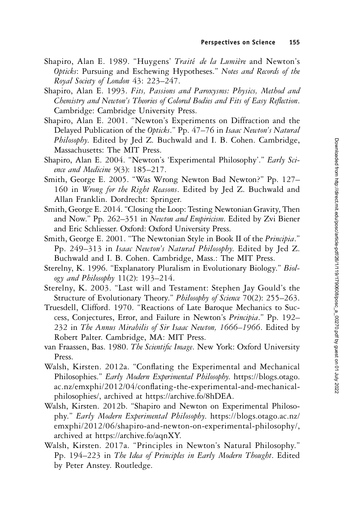- Shapiro, Alan E. 1989. "Huygens' Traité de la Lumière and Newton's Opticks: Pursuing and Eschewing Hypotheses." Notes and Records of the Royal Society of London 43: 223–247.
- Shapiro, Alan E. 1993. Fits, Passions and Paroxysms: Physics, Method and Chemistry and Newton's Theories of Colored Bodies and Fits of Easy Reflection. Cambridge: Cambridge University Press.
- Shapiro, Alan E. 2001. "Newton's Experiments on Diffraction and the Delayed Publication of the Opticks." Pp. 47–76 in Isaac Newton's Natural Philosophy. Edited by Jed Z. Buchwald and I. B. Cohen. Cambridge, Massachusetts: The MIT Press.
- Shapiro, Alan E. 2004. "Newton's 'Experimental Philosophy'." Early Science and Medicine 9(3): 185–217.
- Smith, George E. 2005. "Was Wrong Newton Bad Newton?" Pp. 127– 160 in Wrong for the Right Reasons. Edited by Jed Z. Buchwald and Allan Franklin. Dordrecht: Springer.
- Smith, George E. 2014."Closing the Loop: Testing Newtonian Gravity, Then and Now." Pp. 262-351 in Newton and Empiricism. Edited by Zvi Biener and Eric Schliesser. Oxford: Oxford University Press.
- Smith, George E. 2001. "The Newtonian Style in Book II of the *Principia*." Pp. 249-313 in Isaac Newton's Natural Philosophy. Edited by Jed Z. Buchwald and I. B. Cohen. Cambridge, Mass.: The MIT Press.
- Sterelny, K. 1996. "Explanatory Pluralism in Evolutionary Biology." Biology and Philosophy  $11(2)$ : 193–214.
- Sterelny, K. 2003. "Last will and Testament: Stephen Jay Gould's the Structure of Evolutionary Theory." Philosophy of Science 70(2): 255–263.
- Truesdell, Clifford. 1970. "Reactions of Late Baroque Mechanics to Success, Conjectures, Error, and Failure in Newton's Principia." Pp. 192– 232 in The Annus Mirabilis of Sir Isaac Newton, 1666–1966. Edited by Robert Palter. Cambridge, MA: MIT Press.
- van Fraassen, Bas. 1980. The Scientific Image. New York: Oxford University Press.
- Walsh, Kirsten. 2012a. "Conflating the Experimental and Mechanical Philosophies." Early Modern Experimental Philosophy. https://blogs.otago. ac.nz/emxphi/2012/04/conflating-the-experimental-and-mechanicalphilosophies/, archived at https://archive.fo/8hDEA.
- Walsh, Kirsten. 2012b. "Shapiro and Newton on Experimental Philosophy." Early Modern Experimental Philosophy. https://blogs.otago.ac.nz/ emxphi/2012/06/shapiro-and-newton-on-experimental-philosophy/, archived at https://archive.fo/aqnXY.
- Walsh, Kirsten. 2017a. "Principles in Newton's Natural Philosophy." Pp. 194–223 in The Idea of Principles in Early Modern Thought. Edited by Peter Anstey. Routledge.